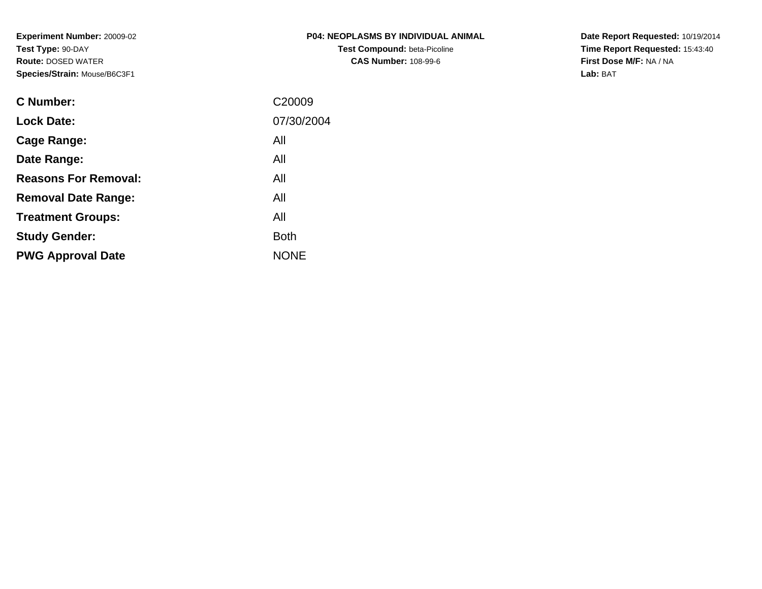**Experiment Number:** 20009-02**Test Type:** 90-DAY **Route:** DOSED WATER**Species/Strain:** Mouse/B6C3F1

| <b>P04: NEOPLASMS BY INDIVIDUAL ANIMAL</b> |
|--------------------------------------------|
| <b>Test Compound: beta-Picoline</b>        |
| <b>CAS Number: 108-99-6</b>                |

**Date Report Requested:** 10/19/2014 **Time Report Requested:** 15:43:40**First Dose M/F:** NA / NA**Lab:** BAT

| <b>C</b> Number:            | C <sub>20009</sub> |
|-----------------------------|--------------------|
| <b>Lock Date:</b>           | 07/30/2004         |
| Cage Range:                 | All                |
| Date Range:                 | All                |
| <b>Reasons For Removal:</b> | All                |
| <b>Removal Date Range:</b>  | All                |
| <b>Treatment Groups:</b>    | All                |
| <b>Study Gender:</b>        | <b>Both</b>        |
| <b>PWG Approval Date</b>    | <b>NONE</b>        |
|                             |                    |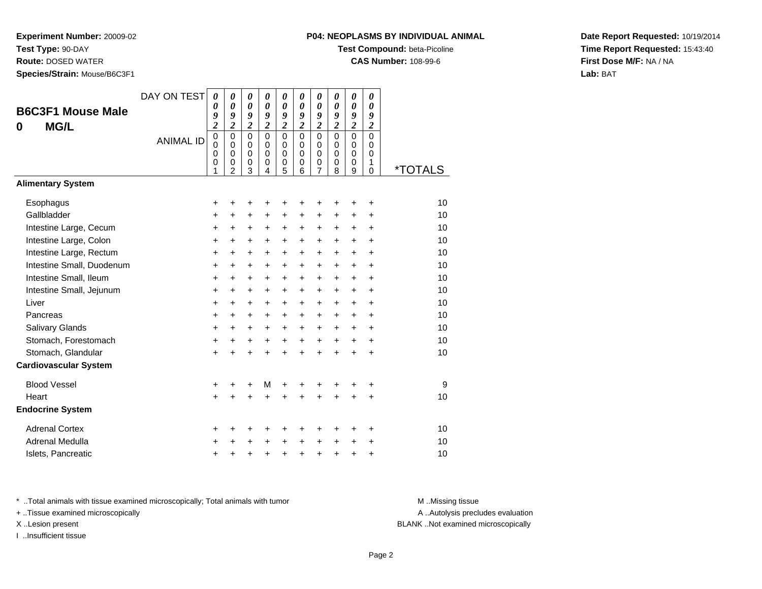**Test Type:** 90-DAY

**Route:** DOSED WATER

**Species/Strain:** Mouse/B6C3F1

# **P04: NEOPLASMS BY INDIVIDUAL ANIMAL**

**Test Compound:** beta-Picoline

**CAS Number:** 108-99-6

**Date Report Requested:** 10/19/2014**Time Report Requested:** 15:43:40**First Dose M/F:** NA / NA**Lab:** BAT

| <b>B6C3F1 Mouse Male</b><br><b>MG/L</b><br>0 | DAY ON TEST      | 0<br>0<br>9<br>$\overline{\mathbf{c}}$    | 0<br>0<br>9<br>$\overline{2}$                                    | 0<br>0<br>9<br>$\overline{2}$                                      | 0<br>$\boldsymbol{\theta}$<br>9<br>$\overline{2}$ | 0<br>$\boldsymbol{\theta}$<br>9<br>$\overline{\mathbf{c}}$ | 0<br>0<br>9<br>$\overline{\mathbf{c}}$ | 0<br>0<br>9<br>$\overline{c}$                | 0<br>$\boldsymbol{\theta}$<br>9<br>$\overline{2}$ | 0<br>0<br>9<br>$\overline{c}$                        | 0<br>0<br>9<br>$\overline{2}$                    |                       |
|----------------------------------------------|------------------|-------------------------------------------|------------------------------------------------------------------|--------------------------------------------------------------------|---------------------------------------------------|------------------------------------------------------------|----------------------------------------|----------------------------------------------|---------------------------------------------------|------------------------------------------------------|--------------------------------------------------|-----------------------|
|                                              | <b>ANIMAL ID</b> | $\mathbf 0$<br>$\mathbf 0$<br>0<br>0<br>1 | $\mathbf 0$<br>$\mathbf 0$<br>$\mathbf 0$<br>0<br>$\overline{2}$ | $\mathbf 0$<br>$\mathbf 0$<br>$\mathbf 0$<br>$\boldsymbol{0}$<br>3 | $\Omega$<br>$\Omega$<br>$\Omega$<br>0<br>4        | $\mathbf 0$<br>$\pmb{0}$<br>$\mathbf 0$<br>0<br>5          | $\Omega$<br>0<br>$\Omega$<br>0<br>6    | $\mathbf 0$<br>0<br>0<br>0<br>$\overline{7}$ | $\overline{0}$<br>0<br>$\mathbf 0$<br>0<br>8      | $\mathbf{0}$<br>$\mathbf 0$<br>$\mathbf 0$<br>0<br>9 | $\mathbf 0$<br>0<br>$\mathbf 0$<br>1<br>$\Omega$ | <i><b>*TOTALS</b></i> |
| <b>Alimentary System</b>                     |                  |                                           |                                                                  |                                                                    |                                                   |                                                            |                                        |                                              |                                                   |                                                      |                                                  |                       |
| Esophagus                                    |                  | +                                         | +                                                                | +                                                                  | +                                                 | +                                                          | +                                      | +                                            | +                                                 | ٠                                                    | +                                                | 10                    |
| Gallbladder                                  |                  | +                                         | $\ddot{}$                                                        | +                                                                  | +                                                 | $\ddot{}$                                                  | $\ddot{}$                              | +                                            | $\ddot{}$                                         | $\ddot{}$                                            | $\ddot{}$                                        | 10                    |
| Intestine Large, Cecum                       |                  | +                                         | +                                                                | +                                                                  | +                                                 | +                                                          | $\ddot{}$                              | $\ddot{}$                                    | +                                                 | $\pm$                                                | +                                                | 10                    |
| Intestine Large, Colon                       |                  | +                                         | $\ddot{}$                                                        | $\ddot{}$                                                          | +                                                 | $\ddot{}$                                                  | $\ddot{}$                              | $\ddot{}$                                    | $\ddot{}$                                         | $\ddot{}$                                            | $\ddot{}$                                        | 10                    |
| Intestine Large, Rectum                      |                  | +                                         | +                                                                | +                                                                  | +                                                 | +                                                          | $\ddot{}$                              | +                                            | +                                                 | +                                                    | +                                                | 10                    |
| Intestine Small, Duodenum                    |                  | $\ddot{}$                                 | $\ddot{}$                                                        | $\ddot{}$                                                          | $\ddot{}$                                         | $\ddot{}$                                                  | $\ddot{}$                              | $\ddot{}$                                    | $\ddot{}$                                         | $\ddot{}$                                            | $\ddot{}$                                        | 10                    |
| Intestine Small, Ileum                       |                  | $\ddot{}$                                 | $\ddot{}$                                                        | $\ddot{}$                                                          | +                                                 | $\ddot{}$                                                  | $\ddot{}$                              | +                                            | $\ddot{}$                                         | $\ddot{}$                                            | +                                                | 10                    |
| Intestine Small, Jejunum                     |                  | $\ddot{}$                                 | $\ddot{}$                                                        | $\ddot{}$                                                          | $\ddot{}$                                         | $\ddot{}$                                                  | $\ddot{}$                              | $\ddot{}$                                    | $\ddot{}$                                         | $+$                                                  | $\ddot{}$                                        | 10                    |
| Liver                                        |                  | +                                         | $\ddot{}$                                                        | +                                                                  | +                                                 | +                                                          | $\ddot{}$                              | +                                            | +                                                 | $\ddot{}$                                            | +                                                | 10                    |
| Pancreas                                     |                  | $\ddot{}$                                 | +                                                                | +                                                                  | +                                                 | $\ddot{}$                                                  | $\ddot{}$                              | $\ddot{}$                                    | $\ddot{}$                                         | $\ddot{}$                                            | $\ddot{}$                                        | 10                    |
| <b>Salivary Glands</b>                       |                  | $\ddot{}$                                 | $\ddot{}$                                                        | $\ddot{}$                                                          | $\ddot{}$                                         | $\ddot{}$                                                  | $+$                                    | $\ddot{}$                                    | $\ddot{}$                                         | $\ddot{}$                                            | $\ddot{}$                                        | 10                    |
| Stomach, Forestomach                         |                  | $\ddot{}$                                 | $\ddot{}$                                                        | $\ddot{}$                                                          | $\ddot{}$                                         | $+$                                                        | $+$                                    | $+$                                          | $\ddot{}$                                         | $+$                                                  | $\ddot{}$                                        | 10                    |
| Stomach, Glandular                           |                  | $\ddot{}$                                 |                                                                  | $\ddot{}$                                                          | $\ddot{}$                                         | $\ddot{}$                                                  | $\ddot{}$                              | $\ddot{}$                                    | $\ddot{}$                                         | $\ddot{}$                                            | $\ddot{}$                                        | 10                    |
| <b>Cardiovascular System</b>                 |                  |                                           |                                                                  |                                                                    |                                                   |                                                            |                                        |                                              |                                                   |                                                      |                                                  |                       |
| <b>Blood Vessel</b>                          |                  | +                                         | +                                                                | +                                                                  | M                                                 | +                                                          | +                                      | +                                            |                                                   |                                                      | ٠                                                | 9                     |
| Heart                                        |                  | $\ddot{}$                                 |                                                                  | Ŧ.                                                                 | ÷                                                 |                                                            |                                        | ÷                                            |                                                   |                                                      | $\ddot{}$                                        | 10                    |
| <b>Endocrine System</b>                      |                  |                                           |                                                                  |                                                                    |                                                   |                                                            |                                        |                                              |                                                   |                                                      |                                                  |                       |
| <b>Adrenal Cortex</b>                        |                  | +                                         | +                                                                | +                                                                  | +                                                 | +                                                          | +                                      | +                                            | +                                                 | ٠                                                    | +                                                | 10                    |
| Adrenal Medulla                              |                  | +                                         |                                                                  | +                                                                  | +                                                 | +                                                          | +                                      | $\ddot{}$                                    | +                                                 | +                                                    | +                                                | 10                    |
| Islets, Pancreatic                           |                  | +                                         |                                                                  | +                                                                  | +                                                 | +                                                          | +                                      | +                                            | +                                                 | +                                                    | +                                                | 10                    |

\* ..Total animals with tissue examined microscopically; Total animals with tumor **M** . Missing tissue M ..Missing tissue

+ ..Tissue examined microscopically

I ..Insufficient tissue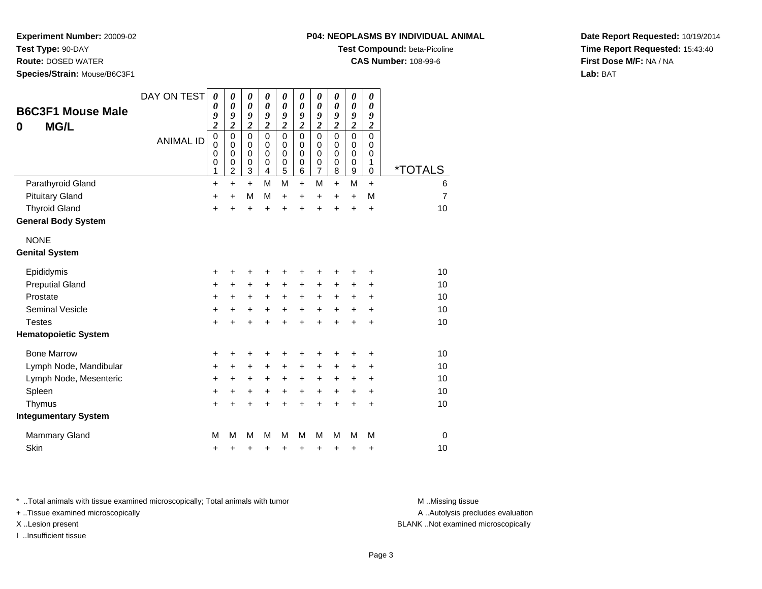**Test Type:** 90-DAY

**Route:** DOSED WATER

**Species/Strain:** Mouse/B6C3F1

# **Test Compound:** beta-Picoline

**CAS Number:** 108-99-6

**Date Report Requested:** 10/19/2014**Time Report Requested:** 15:43:40**First Dose M/F:** NA / NA**Lab:** BAT

| <b>B6C3F1 Mouse Male</b><br><b>MG/L</b><br>0 | DAY ON TEST<br><b>ANIMAL ID</b> | $\boldsymbol{\theta}$<br>0<br>9<br>$\overline{\mathbf{c}}$<br>$\mathbf 0$<br>$\mathbf 0$<br>0<br>0<br>1 | 0<br>$\boldsymbol{\theta}$<br>9<br>$\overline{2}$<br>$\mathbf 0$<br>$\mathbf 0$<br>$\mathbf 0$<br>0<br>$\overline{c}$ | 0<br>$\boldsymbol{\theta}$<br>9<br>$\overline{\mathbf{c}}$<br>$\mathbf 0$<br>$\mathbf 0$<br>$\mathbf 0$<br>$\mathbf 0$<br>3 | 0<br>0<br>9<br>$\overline{2}$<br>$\overline{0}$<br>$\mathbf 0$<br>$\mathbf 0$<br>0<br>4 | 0<br>$\boldsymbol{\theta}$<br>9<br>$\overline{\mathbf{c}}$<br>$\overline{0}$<br>$\mathbf 0$<br>0<br>0<br>5 | 0<br>0<br>9<br>$\overline{2}$<br>0<br>$\mathbf 0$<br>$\Omega$<br>0<br>6 | 0<br>0<br>9<br>$\overline{\mathbf{c}}$<br>$\overline{0}$<br>$\mathbf 0$<br>$\mathbf 0$<br>$\boldsymbol{0}$<br>$\overline{7}$ | 0<br>$\boldsymbol{\theta}$<br>9<br>$\overline{\mathbf{c}}$<br>$\mathbf 0$<br>$\mathbf 0$<br>$\Omega$<br>0<br>8 | 0<br>$\boldsymbol{\theta}$<br>9<br>$\overline{2}$<br>$\overline{0}$<br>$\pmb{0}$<br>$\mathbf 0$<br>$\pmb{0}$<br>$\boldsymbol{9}$ | 0<br>$\boldsymbol{\theta}$<br>9<br>$\boldsymbol{2}$<br>$\overline{0}$<br>0<br>$\mathbf 0$<br>1<br>$\mathbf 0$ | <i><b>*TOTALS</b></i> |
|----------------------------------------------|---------------------------------|---------------------------------------------------------------------------------------------------------|-----------------------------------------------------------------------------------------------------------------------|-----------------------------------------------------------------------------------------------------------------------------|-----------------------------------------------------------------------------------------|------------------------------------------------------------------------------------------------------------|-------------------------------------------------------------------------|------------------------------------------------------------------------------------------------------------------------------|----------------------------------------------------------------------------------------------------------------|----------------------------------------------------------------------------------------------------------------------------------|---------------------------------------------------------------------------------------------------------------|-----------------------|
| Parathyroid Gland                            |                                 | $\ddot{}$                                                                                               | $\ddot{}$                                                                                                             | $\ddot{}$                                                                                                                   | M                                                                                       | M                                                                                                          | $\ddot{}$                                                               | M                                                                                                                            | $\ddot{}$                                                                                                      | M                                                                                                                                | $\ddot{}$                                                                                                     | 6                     |
| <b>Pituitary Gland</b>                       |                                 | $\ddot{}$                                                                                               | $\ddot{}$                                                                                                             | М                                                                                                                           | М                                                                                       | $\ddot{}$                                                                                                  | +                                                                       | $\ddot{}$                                                                                                                    | $\ddot{}$                                                                                                      | $\ddot{}$                                                                                                                        | M                                                                                                             | $\overline{7}$        |
| <b>Thyroid Gland</b>                         |                                 | $\ddot{}$                                                                                               | $\ddot{}$                                                                                                             | $\ddot{}$                                                                                                                   | $\ddot{}$                                                                               | $\ddot{}$                                                                                                  | ÷                                                                       | ÷                                                                                                                            | $\ddot{}$                                                                                                      | $\ddot{}$                                                                                                                        | $\ddot{}$                                                                                                     | 10                    |
| <b>General Body System</b>                   |                                 |                                                                                                         |                                                                                                                       |                                                                                                                             |                                                                                         |                                                                                                            |                                                                         |                                                                                                                              |                                                                                                                |                                                                                                                                  |                                                                                                               |                       |
| <b>NONE</b>                                  |                                 |                                                                                                         |                                                                                                                       |                                                                                                                             |                                                                                         |                                                                                                            |                                                                         |                                                                                                                              |                                                                                                                |                                                                                                                                  |                                                                                                               |                       |
| <b>Genital System</b>                        |                                 |                                                                                                         |                                                                                                                       |                                                                                                                             |                                                                                         |                                                                                                            |                                                                         |                                                                                                                              |                                                                                                                |                                                                                                                                  |                                                                                                               |                       |
| Epididymis                                   |                                 | +                                                                                                       | +                                                                                                                     | +                                                                                                                           | +                                                                                       | +                                                                                                          | +                                                                       | +                                                                                                                            |                                                                                                                |                                                                                                                                  |                                                                                                               | 10                    |
| <b>Preputial Gland</b>                       |                                 | +                                                                                                       | $\pm$                                                                                                                 | +                                                                                                                           | $\pm$                                                                                   | $\ddot{}$                                                                                                  | +                                                                       | +                                                                                                                            | ٠                                                                                                              | ÷                                                                                                                                | +                                                                                                             | 10                    |
| Prostate                                     |                                 | +                                                                                                       | $\pm$                                                                                                                 | $\ddot{}$                                                                                                                   | $\pm$                                                                                   | $\pm$                                                                                                      | +                                                                       | +                                                                                                                            | +                                                                                                              | $\pm$                                                                                                                            | +                                                                                                             | 10                    |
| <b>Seminal Vesicle</b>                       |                                 | $\ddot{}$                                                                                               | +                                                                                                                     | +                                                                                                                           | +                                                                                       | $\ddot{}$                                                                                                  | +                                                                       | +                                                                                                                            | +                                                                                                              | +                                                                                                                                | +                                                                                                             | 10                    |
| <b>Testes</b>                                |                                 | $\ddot{}$                                                                                               | ÷                                                                                                                     | $\ddot{}$                                                                                                                   | $\ddot{}$                                                                               | $\ddot{}$                                                                                                  | ÷                                                                       | $\ddot{}$                                                                                                                    | $\ddot{}$                                                                                                      |                                                                                                                                  | $\ddot{}$                                                                                                     | 10                    |
| <b>Hematopoietic System</b>                  |                                 |                                                                                                         |                                                                                                                       |                                                                                                                             |                                                                                         |                                                                                                            |                                                                         |                                                                                                                              |                                                                                                                |                                                                                                                                  |                                                                                                               |                       |
| <b>Bone Marrow</b>                           |                                 | +                                                                                                       | +                                                                                                                     | +                                                                                                                           |                                                                                         | +                                                                                                          | +                                                                       | +                                                                                                                            |                                                                                                                |                                                                                                                                  |                                                                                                               | 10                    |
| Lymph Node, Mandibular                       |                                 | $\ddot{}$                                                                                               | $\ddot{}$                                                                                                             | $\ddot{}$                                                                                                                   | $\ddot{}$                                                                               | $+$                                                                                                        | $\ddot{}$                                                               | $\ddot{}$                                                                                                                    | $\ddot{}$                                                                                                      | $\pm$                                                                                                                            | +                                                                                                             | 10                    |
| Lymph Node, Mesenteric                       |                                 | +                                                                                                       | +                                                                                                                     | +                                                                                                                           | $\ddot{}$                                                                               | $\ddot{}$                                                                                                  | +                                                                       | +                                                                                                                            | +                                                                                                              | +                                                                                                                                | +                                                                                                             | 10                    |
| Spleen                                       |                                 | $\ddot{}$                                                                                               | +                                                                                                                     | $\ddot{}$                                                                                                                   | $\ddot{}$                                                                               | $+$                                                                                                        | $\ddot{}$                                                               | +                                                                                                                            | $\ddot{}$                                                                                                      | $\ddot{}$                                                                                                                        | $\ddot{}$                                                                                                     | 10                    |
| Thymus                                       |                                 | $\ddot{}$                                                                                               | $\ddot{}$                                                                                                             | $\ddot{}$                                                                                                                   | $\ddot{}$                                                                               | $\ddot{}$                                                                                                  | $\ddot{}$                                                               | $\ddot{}$                                                                                                                    | $\ddot{}$                                                                                                      | $\ddot{}$                                                                                                                        | +                                                                                                             | 10                    |
| <b>Integumentary System</b>                  |                                 |                                                                                                         |                                                                                                                       |                                                                                                                             |                                                                                         |                                                                                                            |                                                                         |                                                                                                                              |                                                                                                                |                                                                                                                                  |                                                                                                               |                       |
| <b>Mammary Gland</b>                         |                                 | М                                                                                                       | М                                                                                                                     | M                                                                                                                           | M                                                                                       | M                                                                                                          | м                                                                       | M                                                                                                                            | М                                                                                                              | M                                                                                                                                | M                                                                                                             | 0                     |
| Skin                                         |                                 | +                                                                                                       | +                                                                                                                     | +                                                                                                                           | +                                                                                       | +                                                                                                          | +                                                                       | +                                                                                                                            | +                                                                                                              | +                                                                                                                                | +                                                                                                             | 10                    |

\* ..Total animals with tissue examined microscopically; Total animals with tumor **M** . Missing tissue M ..Missing tissue

+ ..Tissue examined microscopically

I ..Insufficient tissue

A ..Autolysis precludes evaluation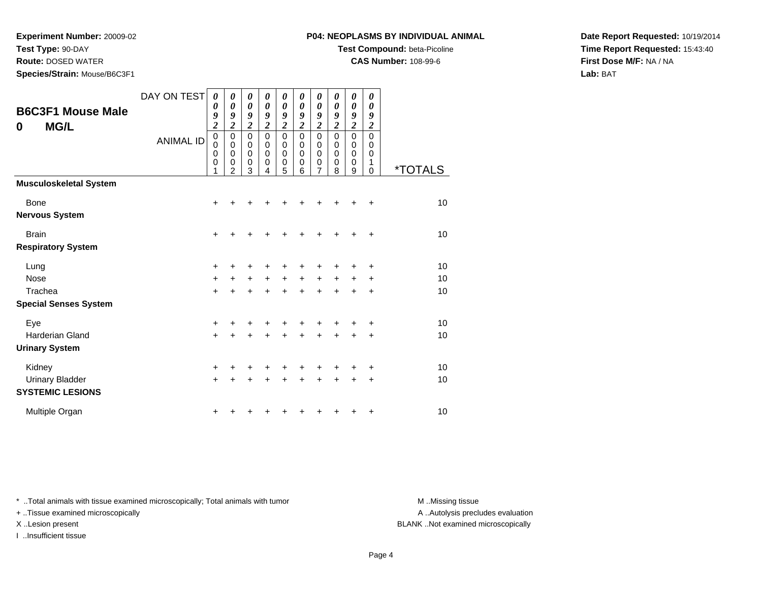**Test Type:** 90-DAY

**Route:** DOSED WATER

**Species/Strain:** Mouse/B6C3F1

**Test Compound:** beta-Picoline

**CAS Number:** 108-99-6

**Date Report Requested:** 10/19/2014**Time Report Requested:** 15:43:40**First Dose M/F:** NA / NA**Lab:** BAT

| <b>B6C3F1 Mouse Male</b><br><b>MG/L</b><br>$\bf{0}$ | DAY ON TEST<br><b>ANIMAL ID</b> | 0<br>$\boldsymbol{\theta}$<br>9<br>$\overline{\mathbf{c}}$<br>$\pmb{0}$<br>$\mathbf 0$<br>$\mathbf 0$<br>$\mathbf 0$ | 0<br>0<br>9<br>$\overline{c}$<br>$\pmb{0}$<br>$\mathbf 0$<br>0<br>0 | 0<br>0<br>9<br>$\overline{c}$<br>$\pmb{0}$<br>$\mathbf 0$<br>$\mathsf 0$<br>0 | 0<br>$\boldsymbol{\theta}$<br>9<br>$\overline{\mathbf{c}}$<br>$\Omega$<br>$\mathbf 0$<br>$\mathbf 0$<br>0 | 0<br>0<br>9<br>$\overline{c}$<br>$\mathbf 0$<br>0<br>$\mathbf 0$<br>$\mathbf 0$ | 0<br>0<br>9<br>$\overline{c}$<br>$\mathbf 0$<br>$\mathbf 0$<br>$\mathbf 0$<br>$\mathbf 0$ | 0<br>0<br>9<br>$\overline{c}$<br>$\mathbf 0$<br>$\mathbf 0$<br>$\mathbf 0$<br>0 | $\boldsymbol{\theta}$<br>$\boldsymbol{\theta}$<br>9<br>$\overline{\mathbf{c}}$<br>$\mathbf 0$<br>0<br>$\pmb{0}$<br>$\mathbf 0$ | 0<br>0<br>9<br>$\overline{c}$<br>$\mathbf 0$<br>$\mathbf 0$<br>$\mathbf 0$<br>$\mathbf 0$ | 0<br>$\boldsymbol{\theta}$<br>9<br>$\boldsymbol{2}$<br>$\mathbf 0$<br>$\mathbf 0$<br>$\mathsf 0$<br>1 |                       |
|-----------------------------------------------------|---------------------------------|----------------------------------------------------------------------------------------------------------------------|---------------------------------------------------------------------|-------------------------------------------------------------------------------|-----------------------------------------------------------------------------------------------------------|---------------------------------------------------------------------------------|-------------------------------------------------------------------------------------------|---------------------------------------------------------------------------------|--------------------------------------------------------------------------------------------------------------------------------|-------------------------------------------------------------------------------------------|-------------------------------------------------------------------------------------------------------|-----------------------|
| <b>Musculoskeletal System</b>                       |                                 | 1                                                                                                                    | $\mathfrak{p}$                                                      | 3                                                                             | 4                                                                                                         | 5                                                                               | 6                                                                                         | 7                                                                               | 8                                                                                                                              | 9                                                                                         | $\Omega$                                                                                              | <i><b>*TOTALS</b></i> |
| Bone<br><b>Nervous System</b>                       |                                 | +                                                                                                                    |                                                                     |                                                                               |                                                                                                           |                                                                                 |                                                                                           |                                                                                 |                                                                                                                                |                                                                                           | +                                                                                                     | 10                    |
| <b>Brain</b>                                        |                                 | $\ddot{}$                                                                                                            |                                                                     |                                                                               |                                                                                                           |                                                                                 |                                                                                           |                                                                                 | ÷                                                                                                                              | +                                                                                         | $\ddot{}$                                                                                             | 10                    |
| <b>Respiratory System</b>                           |                                 |                                                                                                                      |                                                                     |                                                                               |                                                                                                           |                                                                                 |                                                                                           |                                                                                 |                                                                                                                                |                                                                                           |                                                                                                       |                       |
| Lung                                                |                                 | $\ddot{}$                                                                                                            |                                                                     |                                                                               |                                                                                                           |                                                                                 |                                                                                           |                                                                                 |                                                                                                                                |                                                                                           | +                                                                                                     | 10                    |
| <b>Nose</b>                                         |                                 | $\ddot{}$                                                                                                            | +                                                                   | +                                                                             | $\ddot{}$                                                                                                 | $\ddot{}$                                                                       | $\ddot{}$                                                                                 | +                                                                               | $\ddot{}$                                                                                                                      | +                                                                                         | $\ddot{}$                                                                                             | 10                    |
| Trachea                                             |                                 | $+$                                                                                                                  | $\div$                                                              | $\pm$                                                                         | $\div$                                                                                                    | $\ddot{}$                                                                       | $\div$                                                                                    | $\ddot{}$                                                                       | +                                                                                                                              | +                                                                                         | $\ddot{}$                                                                                             | 10                    |
| <b>Special Senses System</b>                        |                                 |                                                                                                                      |                                                                     |                                                                               |                                                                                                           |                                                                                 |                                                                                           |                                                                                 |                                                                                                                                |                                                                                           |                                                                                                       |                       |
| Eye                                                 |                                 | $\ddot{}$                                                                                                            |                                                                     | +                                                                             |                                                                                                           | ٠                                                                               |                                                                                           | ٠                                                                               | +                                                                                                                              | +                                                                                         | +                                                                                                     | 10                    |
| Harderian Gland                                     |                                 | $+$                                                                                                                  |                                                                     |                                                                               | +                                                                                                         | +                                                                               | $\ddot{}$                                                                                 | $\ddot{}$                                                                       | $\ddot{}$                                                                                                                      | $\ddot{}$                                                                                 | $\ddot{}$                                                                                             | 10                    |
| <b>Urinary System</b>                               |                                 |                                                                                                                      |                                                                     |                                                                               |                                                                                                           |                                                                                 |                                                                                           |                                                                                 |                                                                                                                                |                                                                                           |                                                                                                       |                       |
| Kidney                                              |                                 | +                                                                                                                    |                                                                     |                                                                               |                                                                                                           | ٠                                                                               |                                                                                           | +                                                                               | +                                                                                                                              | +                                                                                         | +                                                                                                     | 10                    |
| <b>Urinary Bladder</b><br><b>SYSTEMIC LESIONS</b>   |                                 | $+$                                                                                                                  |                                                                     |                                                                               |                                                                                                           | $\ddot{}$                                                                       | $\ddot{}$                                                                                 | $\ddot{}$                                                                       | $\ddot{}$                                                                                                                      | $\ddot{}$                                                                                 | $\ddot{}$                                                                                             | 10                    |
| Multiple Organ                                      |                                 | ٠                                                                                                                    |                                                                     |                                                                               |                                                                                                           |                                                                                 |                                                                                           |                                                                                 | ٠                                                                                                                              | +                                                                                         | +                                                                                                     | 10                    |

\* ..Total animals with tissue examined microscopically; Total animals with tumor **M** . Missing tissue M ..Missing tissue

+ ..Tissue examined microscopically

I ..Insufficient tissue

A ..Autolysis precludes evaluation

X ..Lesion present BLANK ..Not examined microscopically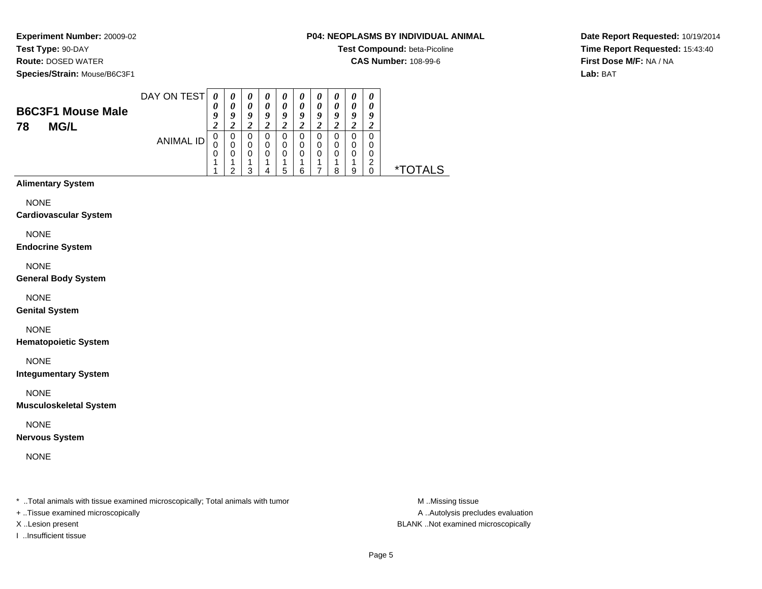**Experiment Number:** 20009-02**Test Type:** 90-DAY

**Route:** DOSED WATER

**Species/Strain:** Mouse/B6C3F1

## **P04: NEOPLASMS BY INDIVIDUAL ANIMAL**

**Test Compound:** beta-Picoline

**CAS Number:** 108-99-6

**Date Report Requested:** 10/19/2014**Time Report Requested:** 15:43:40**First Dose M/F:** NA / NA**Lab:** BAT

| <b>B6C3F1 Mouse Male</b><br><b>MG/L</b><br>78 | DAY ON TEST | U<br>a<br><u>า</u> | $\boldsymbol{\theta}$<br>Q | 0<br>0<br>O<br>∠ | 0<br>0<br>0 | U<br>0<br>Q<br>∠ | a | U<br>o<br>∠ | o | U<br>U<br>o |  |
|-----------------------------------------------|-------------|--------------------|----------------------------|------------------|-------------|------------------|---|-------------|---|-------------|--|
|                                               | ANIMAL ID   | O<br>0<br>0        | U<br>ີ                     | 0<br>0<br>0<br>າ | O<br>0      | 0<br>0<br>0<br>5 | U | 0<br>0<br>0 | ິ | ີ           |  |

# **Alimentary System**

NONE

**Cardiovascular System**

NONE

**Endocrine System**

NONE

**General Body System**

NONE

**Genital System**

# NONE

**Hematopoietic System**

NONE

**Integumentary System**

NONE

**Musculoskeletal System**

NONE

**Nervous System**

NONE

\* ..Total animals with tissue examined microscopically; Total animals with tumor **M** ...Missing tissue M ...Missing tissue

+ ..Tissue examined microscopically

I ..Insufficient tissue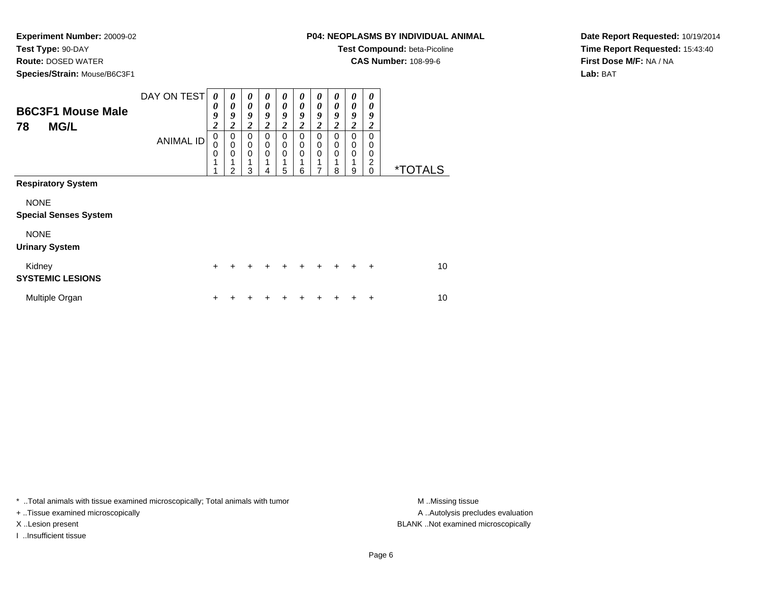**Test Type:** 90-DAY

**Route:** DOSED WATER

**Species/Strain:** Mouse/B6C3F1

**Test Compound:** beta-Picoline

**CAS Number:** 108-99-6

**Date Report Requested:** 10/19/2014**Time Report Requested:** 15:43:40**First Dose M/F:** NA / NA**Lab:** BAT

| <b>B6C3F1 Mouse Male</b><br><b>MG/L</b><br>78 | DAY ON TEST      | 0<br>0<br>9<br>$\overline{\mathbf{c}}$    | 0<br>0<br>9<br>2              | $\boldsymbol{\theta}$<br>0<br>9<br>2   | 0<br>$\boldsymbol{\theta}$<br>9<br>2 | 0<br>0<br>9<br>2             | 0<br>$\theta$<br>9<br>2 | 0<br>$\boldsymbol{\theta}$<br>9<br>2 | 0<br>0<br>9<br>2 | 0<br>$\theta$<br>9<br>2 | 0<br>0<br>9<br>2                    |                       |
|-----------------------------------------------|------------------|-------------------------------------------|-------------------------------|----------------------------------------|--------------------------------------|------------------------------|-------------------------|--------------------------------------|------------------|-------------------------|-------------------------------------|-----------------------|
|                                               | <b>ANIMAL ID</b> | $\mathbf 0$<br>0<br>$\mathbf 0$<br>1<br>1 | 0<br>0<br>0<br>$\overline{2}$ | $\Omega$<br>0<br>$\mathbf 0$<br>1<br>3 | $\Omega$<br>0<br>0<br>4              | $\Omega$<br>0<br>0<br>1<br>5 | 0<br>0<br>0<br>6        | 0<br>0<br>0<br>7                     | 0<br>0<br>0<br>8 | 0<br>0<br>0<br>9        | $\Omega$<br>0<br>0<br>2<br>$\Omega$ | <i><b>*TOTALS</b></i> |
| <b>Respiratory System</b>                     |                  |                                           |                               |                                        |                                      |                              |                         |                                      |                  |                         |                                     |                       |
| <b>NONE</b><br><b>Special Senses System</b>   |                  |                                           |                               |                                        |                                      |                              |                         |                                      |                  |                         |                                     |                       |
| <b>NONE</b><br><b>Urinary System</b>          |                  |                                           |                               |                                        |                                      |                              |                         |                                      |                  |                         |                                     |                       |
| Kidney<br><b>SYSTEMIC LESIONS</b>             |                  | $\ddot{}$                                 | +                             | +                                      | ÷                                    | ÷                            | ÷                       |                                      |                  |                         | ÷                                   | 10                    |
| Multiple Organ                                |                  | ٠                                         |                               |                                        |                                      |                              |                         |                                      |                  |                         |                                     | 10                    |

\* ..Total animals with tissue examined microscopically; Total animals with tumor **M** . Missing tissue M ..Missing tissue

+ ..Tissue examined microscopically

I ..Insufficient tissue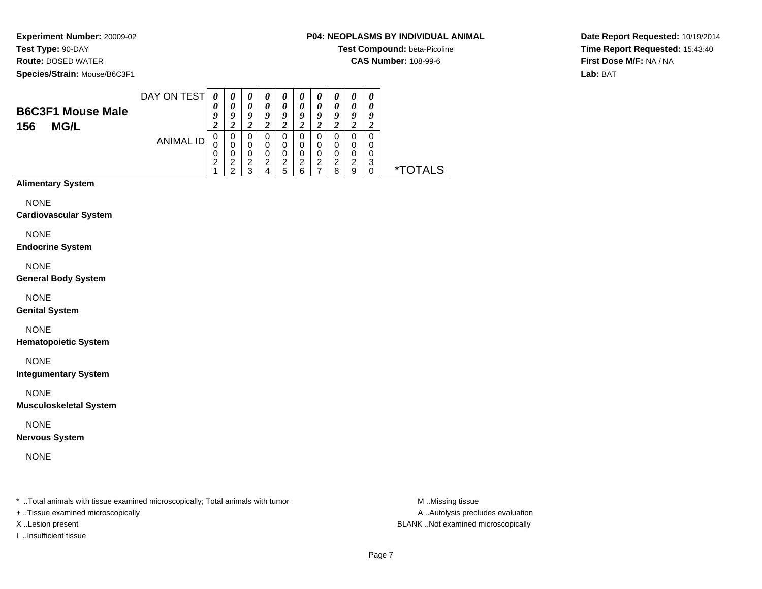**Test Type:** 90-DAY

**Route:** DOSED WATER

**Species/Strain:** Mouse/B6C3F1

### **P04: NEOPLASMS BY INDIVIDUAL ANIMAL**

**Test Compound:** beta-Picoline

**CAS Number:** 108-99-6

**Date Report Requested:** 10/19/2014**Time Report Requested:** 15:43:40**First Dose M/F:** NA / NA**Lab:** BAT

| <b>B6C3F1 Mouse Male</b><br><b>MG/L</b><br>156 | DAY ON TEST | U      | $\boldsymbol{\theta}$ | $\boldsymbol{\theta}$<br>0<br>Q | U<br>o | U<br>$\boldsymbol{\theta}$<br>Q |        | o      |        |        |  |
|------------------------------------------------|-------------|--------|-----------------------|---------------------------------|--------|---------------------------------|--------|--------|--------|--------|--|
|                                                | ANIMAL ID   | 0<br>0 |                       | 0<br>0<br>0                     |        | ∠<br>0<br>0<br>0                |        | 0<br>0 |        |        |  |
|                                                |             | ⌒<br>ے | ◠<br>ີ                | າ<br>ົ<br>w                     | ◠      | ົ<br>5                          | ົ<br>6 | ົ      | ົ<br>o | ົ<br>9 |  |

**Alimentary System**

NONE

**Cardiovascular System**

NONE

**Endocrine System**

NONE

**General Body System**

NONE

**Genital System**

NONE

**Hematopoietic System**

NONE

**Integumentary System**

NONE

**Musculoskeletal System**

NONE

**Nervous System**

NONE

\* ..Total animals with tissue examined microscopically; Total animals with tumor **M** ...Missing tissue M ...Missing tissue

+ ..Tissue examined microscopically

I ..Insufficient tissue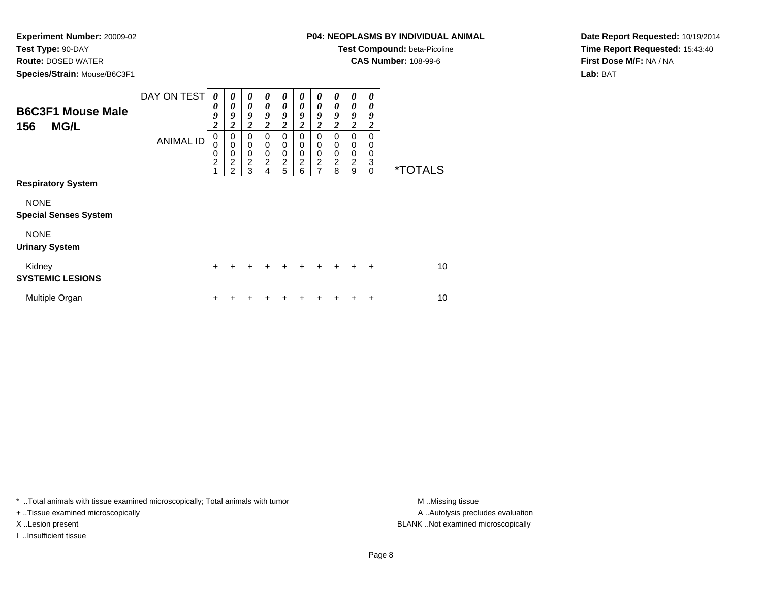**Test Type:** 90-DAY

**Route:** DOSED WATER

**Species/Strain:** Mouse/B6C3F1

## **P04: NEOPLASMS BY INDIVIDUAL ANIMAL**

**Test Compound:** beta-Picoline

**CAS Number:** 108-99-6

**Date Report Requested:** 10/19/2014**Time Report Requested:** 15:43:40**First Dose M/F:** NA / NA**Lab:** BAT

| <b>B6C3F1 Mouse Male</b><br><b>MG/L</b><br>156 | DAY ON TEST      | 0<br>0<br>9<br>$\boldsymbol{2}$    | 0<br>0<br>9<br>$\boldsymbol{2}$                                              | 0<br>0<br>9<br>$\overline{\mathbf{c}}$       | 0<br>0<br>9<br>2      | 0<br>$\theta$<br>9<br>$\boldsymbol{2}$ | 0<br>0<br>9<br>2      | 0<br>0<br>9<br>$\overline{c}$ | 0<br>0<br>9<br>2      | 0<br>0<br>9<br>2      | 0<br>0<br>9<br>2             |                       |
|------------------------------------------------|------------------|------------------------------------|------------------------------------------------------------------------------|----------------------------------------------|-----------------------|----------------------------------------|-----------------------|-------------------------------|-----------------------|-----------------------|------------------------------|-----------------------|
|                                                | <b>ANIMAL ID</b> | 0<br>0<br>0<br>$\overline{c}$<br>1 | 0<br>$\mathbf 0$<br>$\mathbf 0$<br>$\overline{\mathbf{c}}$<br>$\mathfrak{p}$ | 0<br>$\mathbf 0$<br>0<br>$\overline{c}$<br>3 | 0<br>0<br>0<br>2<br>4 | 0<br>0<br>0<br>$\boldsymbol{2}$<br>5   | 0<br>0<br>0<br>2<br>6 | 0<br>0<br>0<br>$\frac{2}{7}$  | 0<br>0<br>0<br>2<br>8 | 0<br>0<br>0<br>2<br>9 | 0<br>0<br>0<br>3<br>$\Omega$ | <i><b>*TOTALS</b></i> |
| <b>Respiratory System</b>                      |                  |                                    |                                                                              |                                              |                       |                                        |                       |                               |                       |                       |                              |                       |
| <b>NONE</b><br><b>Special Senses System</b>    |                  |                                    |                                                                              |                                              |                       |                                        |                       |                               |                       |                       |                              |                       |
| <b>NONE</b><br><b>Urinary System</b>           |                  |                                    |                                                                              |                                              |                       |                                        |                       |                               |                       |                       |                              |                       |
| Kidney<br><b>SYSTEMIC LESIONS</b>              |                  | $+$                                | +                                                                            | +                                            | $\div$                | $\ddot{}$                              | $\ddot{}$             | ÷                             | $\div$                | +                     | $\ddot{}$                    | 10                    |
| Multiple Organ                                 |                  | +                                  |                                                                              |                                              |                       |                                        |                       |                               |                       |                       | +                            | 10                    |

\* ..Total animals with tissue examined microscopically; Total animals with tumor **M** . Missing tissue M ..Missing tissue

+ ..Tissue examined microscopically

I ..Insufficient tissue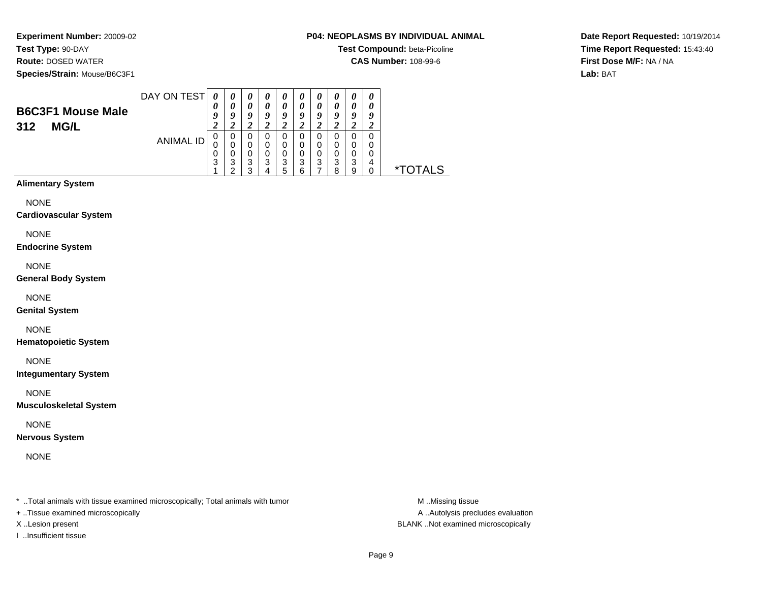**Test Type:** 90-DAY

**Route:** DOSED WATER

**Species/Strain:** Mouse/B6C3F1

#### **P04: NEOPLASMS BY INDIVIDUAL ANIMAL**

**Test Compound:** beta-Picoline

**CAS Number:** 108-99-6

**Date Report Requested:** 10/19/2014**Time Report Requested:** 15:43:40**First Dose M/F:** NA / NA**Lab:** BAT

| <b>B6C3F1 Mouse Male</b><br>312<br><b>MG/L</b> | DAY ON TEST | 0<br>$\boldsymbol{0}$ | 0<br>O      | $\boldsymbol{\theta}$<br>0<br>o | o       | U<br>u      | o           |        |   |         | $\boldsymbol{\theta}$<br>$\boldsymbol{\theta}$<br>у |  |
|------------------------------------------------|-------------|-----------------------|-------------|---------------------------------|---------|-------------|-------------|--------|---|---------|-----------------------------------------------------|--|
| <b>ANIMAL ID</b>                               |             | 0                     | 0<br>0      | 0<br>0                          | 0       | ∠<br>0      |             |        |   |         |                                                     |  |
|                                                |             | 0<br>3                | າ<br>J<br>◠ | 0<br>3<br>◠<br>w                | ◠<br>د. | 0<br>3<br>5 | າ<br>J<br>6 | ว<br>ن | o | a<br>×. | 4                                                   |  |

**Alimentary System**

NONE

**Cardiovascular System**

NONE

**Endocrine System**

NONE

**General Body System**

NONE

**Genital System**

NONE

**Hematopoietic System**

NONE

**Integumentary System**

NONE

**Musculoskeletal System**

NONE

**Nervous System**

NONE

\* ..Total animals with tissue examined microscopically; Total animals with tumor **M** ...Missing tissue M ...Missing tissue

+ ..Tissue examined microscopically

I ..Insufficient tissue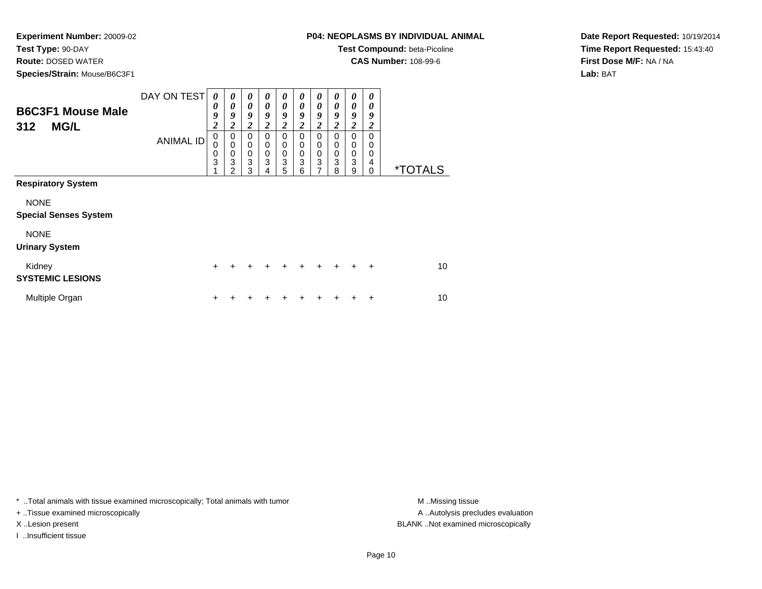**Test Type:** 90-DAY

**Route:** DOSED WATER

**Species/Strain:** Mouse/B6C3F1

**Test Compound:** beta-Picoline

**CAS Number:** 108-99-6

**Date Report Requested:** 10/19/2014**Time Report Requested:** 15:43:40**First Dose M/F:** NA / NA**Lab:** BAT

| <b>B6C3F1 Mouse Male</b><br>312<br><b>MG/L</b> | DAY ON TEST<br><b>ANIMAL ID</b> | $\boldsymbol{\theta}$<br>0<br>9<br>$\boldsymbol{2}$<br>$\mathbf 0$<br>0<br>0<br>3 | 0<br>0<br>9<br>$\boldsymbol{2}$<br>0<br>$\mathbf 0$<br>0<br>3 | 0<br>$\boldsymbol{\theta}$<br>9<br>2<br>0<br>0<br>0<br>$\ensuremath{\mathsf{3}}$ | 0<br>0<br>9<br>2<br>$\Omega$<br>0<br>0<br>3 | 0<br>$\boldsymbol{\theta}$<br>9<br>$\boldsymbol{2}$<br>0<br>0<br>$\boldsymbol{0}$<br>3 | 0<br>0<br>9<br>2<br>0<br>0<br>0<br>3 | 0<br>0<br>9<br>2<br>0<br>0<br>0<br>3 | 0<br>$\boldsymbol{\theta}$<br>9<br>2<br>$\Omega$<br>$\mathbf 0$<br>$\mathbf 0$<br>3 | 0<br>$\boldsymbol{\theta}$<br>9<br>2<br>$\Omega$<br>0<br>$\pmb{0}$<br>3 | 0<br>0<br>9<br>2<br>$\Omega$<br>0<br>0<br>4 |                       |
|------------------------------------------------|---------------------------------|-----------------------------------------------------------------------------------|---------------------------------------------------------------|----------------------------------------------------------------------------------|---------------------------------------------|----------------------------------------------------------------------------------------|--------------------------------------|--------------------------------------|-------------------------------------------------------------------------------------|-------------------------------------------------------------------------|---------------------------------------------|-----------------------|
| <b>Respiratory System</b>                      |                                 |                                                                                   | 2                                                             | 3                                                                                | 4                                           | 5                                                                                      | 6                                    | 7                                    | 8                                                                                   | 9                                                                       | 0                                           | <i><b>*TOTALS</b></i> |
| <b>NONE</b><br><b>Special Senses System</b>    |                                 |                                                                                   |                                                               |                                                                                  |                                             |                                                                                        |                                      |                                      |                                                                                     |                                                                         |                                             |                       |
| <b>NONE</b><br><b>Urinary System</b>           |                                 |                                                                                   |                                                               |                                                                                  |                                             |                                                                                        |                                      |                                      |                                                                                     |                                                                         |                                             |                       |
| Kidney<br><b>SYSTEMIC LESIONS</b>              |                                 | $\pm$                                                                             | +                                                             | ٠                                                                                | $\ddot{}$                                   | $\ddot{}$                                                                              | $\ddot{}$                            | $\ddot{}$                            | $\ddot{}$                                                                           | $\ddot{}$                                                               | $\ddot{}$                                   | 10                    |
| Multiple Organ                                 |                                 | $\mathbf +$                                                                       |                                                               |                                                                                  |                                             |                                                                                        |                                      |                                      |                                                                                     |                                                                         | ÷                                           | 10                    |

\* ..Total animals with tissue examined microscopically; Total animals with tumor **M** . Missing tissue M ..Missing tissue

+ ..Tissue examined microscopically

I ..Insufficient tissue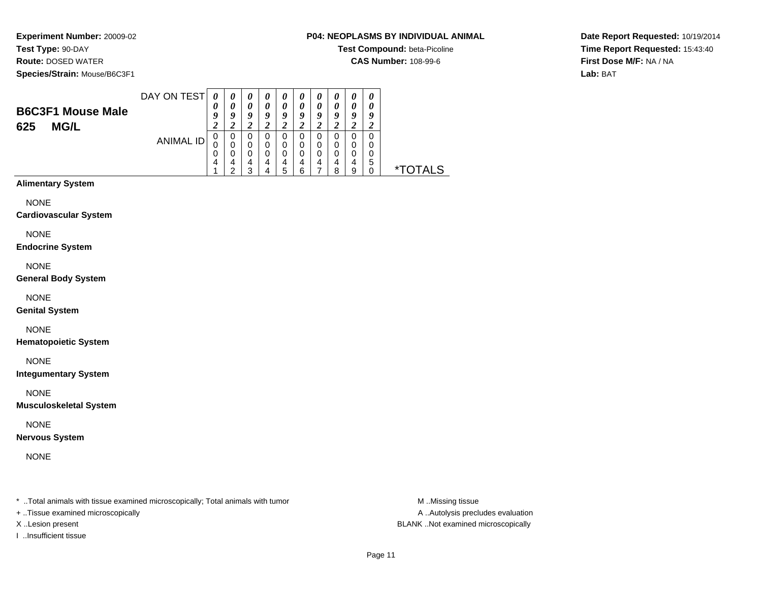**Experiment Number:** 20009-02**Test Type:** 90-DAY

**Route:** DOSED WATER

**Species/Strain:** Mouse/B6C3F1

#### **P04: NEOPLASMS BY INDIVIDUAL ANIMAL**

**Test Compound:** beta-Picoline

**CAS Number:** 108-99-6

**Date Report Requested:** 10/19/2014**Time Report Requested:** 15:43:40**First Dose M/F:** NA / NA**Lab:** BAT

|                          | DAY ON TEST      |        | 0 | $\boldsymbol{\theta}$ | U | U |   |   |   | $\boldsymbol{\theta}$ |
|--------------------------|------------------|--------|---|-----------------------|---|---|---|---|---|-----------------------|
| <b>B6C3F1 Mouse Male</b> |                  | 0      |   | 0                     |   | 0 |   |   |   | U                     |
|                          |                  | Q      | Q | 0                     | о | o | o |   |   | 9                     |
| <b>MG/L</b><br>625       |                  | Δ<br>∠ |   |                       |   | ∠ |   |   |   |                       |
|                          |                  |        | 0 | 0                     |   |   |   |   |   |                       |
|                          | <b>ANIMAL ID</b> | 0      | 0 | 0                     | 0 | 0 |   |   |   |                       |
|                          |                  | 0      |   | ი                     |   |   |   |   |   |                       |
|                          |                  | 4      |   |                       |   | 4 |   | 4 |   | 5                     |
|                          |                  |        | ົ | ≏                     |   | 5 | 6 |   | o |                       |

**Alimentary System**

NONE

**Cardiovascular System**

NONE

**Endocrine System**

NONE

**General Body System**

NONE

**Genital System**

NONE

**Hematopoietic System**

NONE

**Integumentary System**

NONE

**Musculoskeletal System**

NONE

**Nervous System**

NONE

\* ..Total animals with tissue examined microscopically; Total animals with tumor **M** ...Missing tissue M ...Missing tissue

+ ..Tissue examined microscopically

I ..Insufficient tissue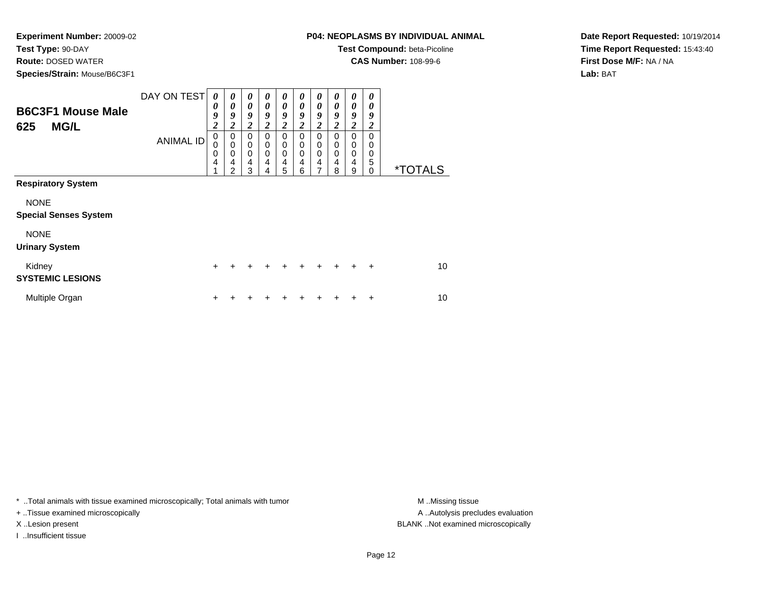# **Test Type:** 90-DAY

**Route:** DOSED WATER

**Species/Strain:** Mouse/B6C3F1

## **P04: NEOPLASMS BY INDIVIDUAL ANIMAL**

**Test Compound:** beta-Picoline

**CAS Number:** 108-99-6

**Date Report Requested:** 10/19/2014**Time Report Requested:** 15:43:40**First Dose M/F:** NA / NA**Lab:** BAT

| <b>B6C3F1 Mouse Male</b><br><b>MG/L</b><br>625 | DAY ON TEST      | 0<br>0<br>9<br>$\overline{\mathbf{c}}$ | $\boldsymbol{\theta}$<br>0<br>9<br>$\overline{2}$ | 0<br>$\boldsymbol{\theta}$<br>9<br>2 | 0<br>$\theta$<br>9<br>2      | 0<br>$\boldsymbol{\theta}$<br>9<br>$\boldsymbol{2}$ | 0<br>$\theta$<br>9<br>2 | 0<br>0<br>9<br>2      | 0<br>0<br>9<br>2      | $\boldsymbol{\theta}$<br>0<br>9<br>2 | 0<br>0<br>9<br>2                           |                       |
|------------------------------------------------|------------------|----------------------------------------|---------------------------------------------------|--------------------------------------|------------------------------|-----------------------------------------------------|-------------------------|-----------------------|-----------------------|--------------------------------------|--------------------------------------------|-----------------------|
|                                                | <b>ANIMAL ID</b> | 0<br>0<br>0<br>4                       | $\mathbf 0$<br>$\mathbf 0$<br>0<br>4<br>2         | 0<br>0<br>0<br>4<br>3                | $\Omega$<br>0<br>0<br>4<br>4 | $\mathbf 0$<br>$\mathbf 0$<br>0<br>4<br>5           | 0<br>0<br>0<br>4<br>6   | 0<br>0<br>0<br>4<br>7 | 0<br>0<br>0<br>4<br>8 | 0<br>0<br>0<br>4<br>9                | $\Omega$<br>$\Omega$<br>0<br>5<br>$\Omega$ | <i><b>*TOTALS</b></i> |
| <b>Respiratory System</b>                      |                  |                                        |                                                   |                                      |                              |                                                     |                         |                       |                       |                                      |                                            |                       |
| <b>NONE</b><br><b>Special Senses System</b>    |                  |                                        |                                                   |                                      |                              |                                                     |                         |                       |                       |                                      |                                            |                       |
| <b>NONE</b><br><b>Urinary System</b>           |                  |                                        |                                                   |                                      |                              |                                                     |                         |                       |                       |                                      |                                            |                       |
| Kidney<br><b>SYSTEMIC LESIONS</b>              |                  | $\pm$                                  | +                                                 | ٠                                    | +                            | ÷                                                   | ÷                       | ÷                     | +                     |                                      | $\ddot{}$                                  | 10                    |
| Multiple Organ                                 |                  |                                        |                                                   |                                      |                              |                                                     |                         |                       |                       |                                      | +                                          | 10                    |

\* ..Total animals with tissue examined microscopically; Total animals with tumor **M** . Missing tissue M ..Missing tissue

+ ..Tissue examined microscopically

I ..Insufficient tissue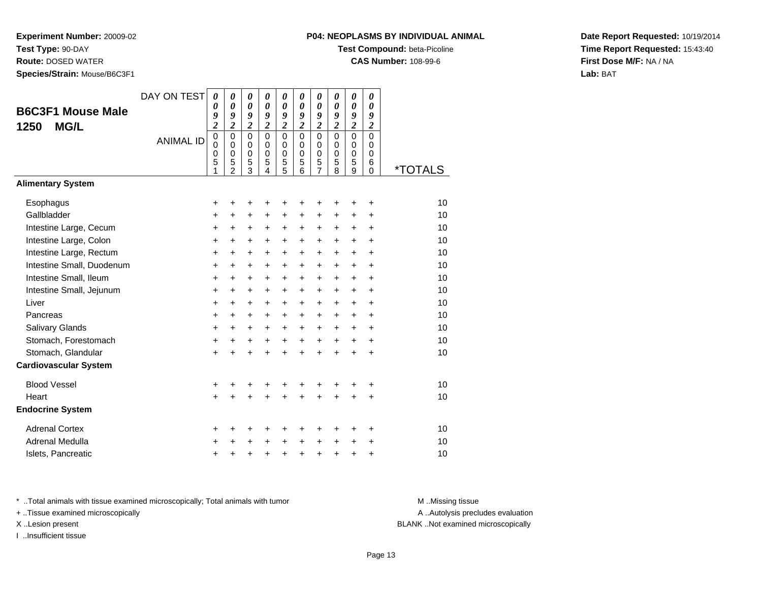**Test Type:** 90-DAY

**Route:** DOSED WATER

**Species/Strain:** Mouse/B6C3F1

## **P04: NEOPLASMS BY INDIVIDUAL ANIMAL**

**Test Compound:** beta-Picoline

**CAS Number:** 108-99-6

**Date Report Requested:** 10/19/2014**Time Report Requested:** 15:43:40**First Dose M/F:** NA / NA**Lab:** BAT

| <b>B6C3F1 Mouse Male</b><br>1250<br><b>MG/L</b> | DAY ON TEST<br><b>ANIMAL ID</b> | 0<br>0<br>9<br>$\overline{c}$<br>$\pmb{0}$<br>0<br>0<br>5<br>1 | $\boldsymbol{\theta}$<br>$\boldsymbol{\theta}$<br>9<br>$\overline{2}$<br>$\Omega$<br>$\mathbf 0$<br>$\mathbf 0$<br>5<br>$\overline{2}$ | 0<br>$\boldsymbol{\theta}$<br>9<br>$\overline{2}$<br>$\mathbf 0$<br>$\mathbf 0$<br>$\mathbf 0$<br>5<br>3 | 0<br>0<br>9<br>$\overline{2}$<br>$\mathbf 0$<br>$\mathbf 0$<br>$\mathbf 0$<br>5<br>4 | 0<br>$\boldsymbol{\theta}$<br>9<br>$\overline{2}$<br>$\mathbf 0$<br>$\mathbf 0$<br>$\mathbf 0$<br>5<br>5 | 0<br>$\boldsymbol{\theta}$<br>9<br>$\overline{c}$<br>$\Omega$<br>$\mathbf 0$<br>$\mathbf 0$<br>5<br>6 | 0<br>0<br>9<br>$\overline{2}$<br>$\mathbf 0$<br>0<br>$\mathbf 0$<br>5<br>$\overline{7}$ | 0<br>0<br>9<br>$\overline{2}$<br>0<br>$\mathbf 0$<br>$\mathbf 0$<br>5<br>8 | 0<br>$\boldsymbol{\theta}$<br>9<br>$\overline{2}$<br>$\Omega$<br>$\mathbf 0$<br>$\pmb{0}$<br>5<br>9 | 0<br>0<br>9<br>$\overline{c}$<br>$\Omega$<br>$\mathbf 0$<br>$\mathbf 0$<br>6<br>$\Omega$ | <i><b>*TOTALS</b></i> |
|-------------------------------------------------|---------------------------------|----------------------------------------------------------------|----------------------------------------------------------------------------------------------------------------------------------------|----------------------------------------------------------------------------------------------------------|--------------------------------------------------------------------------------------|----------------------------------------------------------------------------------------------------------|-------------------------------------------------------------------------------------------------------|-----------------------------------------------------------------------------------------|----------------------------------------------------------------------------|-----------------------------------------------------------------------------------------------------|------------------------------------------------------------------------------------------|-----------------------|
| <b>Alimentary System</b>                        |                                 |                                                                |                                                                                                                                        |                                                                                                          |                                                                                      |                                                                                                          |                                                                                                       |                                                                                         |                                                                            |                                                                                                     |                                                                                          |                       |
| Esophagus                                       |                                 | +                                                              | +                                                                                                                                      | +                                                                                                        | +                                                                                    | +                                                                                                        | +                                                                                                     | +                                                                                       | +                                                                          | +                                                                                                   | ÷                                                                                        | 10                    |
| Gallbladder                                     |                                 | $\ddot{}$                                                      | $\ddot{}$                                                                                                                              | $\ddot{}$                                                                                                | $\ddot{}$                                                                            | $\ddot{}$                                                                                                | +                                                                                                     | $\ddot{}$                                                                               | $\pm$                                                                      | $\ddot{}$                                                                                           | $\ddot{}$                                                                                | 10                    |
| Intestine Large, Cecum                          |                                 | +                                                              | $\ddot{}$                                                                                                                              | $\ddot{}$                                                                                                | $\ddot{}$                                                                            | $\ddot{}$                                                                                                | $\ddot{}$                                                                                             | $+$                                                                                     | $\ddot{}$                                                                  | $\pm$                                                                                               | $\ddot{}$                                                                                | 10                    |
| Intestine Large, Colon                          |                                 | $\ddot{}$                                                      | $\ddot{}$                                                                                                                              | $\ddot{}$                                                                                                | +                                                                                    | $\ddot{}$                                                                                                | $\ddot{}$                                                                                             | $+$                                                                                     | $\ddot{}$                                                                  | $\ddot{}$                                                                                           | $\ddot{}$                                                                                | 10                    |
| Intestine Large, Rectum                         |                                 | +                                                              | +                                                                                                                                      | +                                                                                                        | +                                                                                    | +                                                                                                        | +                                                                                                     | $\ddot{}$                                                                               | +                                                                          | +                                                                                                   | $\ddot{}$                                                                                | 10                    |
| Intestine Small, Duodenum                       |                                 | +                                                              | $\ddot{}$                                                                                                                              | $\ddot{}$                                                                                                | +                                                                                    | +                                                                                                        | $\ddot{}$                                                                                             | $\ddot{}$                                                                               | +                                                                          | $\ddot{}$                                                                                           | $\ddot{}$                                                                                | 10                    |
| Intestine Small, Ileum                          |                                 | +                                                              | $\ddot{}$                                                                                                                              | $\ddot{}$                                                                                                | $\ddot{}$                                                                            | $\ddot{}$                                                                                                | $\ddot{}$                                                                                             | $\ddot{}$                                                                               | $\ddot{}$                                                                  | $\ddot{}$                                                                                           | $\ddot{}$                                                                                | 10                    |
| Intestine Small, Jejunum                        |                                 | $\ddot{}$                                                      | $\ddot{}$                                                                                                                              | $\ddot{}$                                                                                                | $\ddot{}$                                                                            | $\ddot{}$                                                                                                | $\ddot{}$                                                                                             | $\ddot{}$                                                                               | $\ddot{}$                                                                  | $\ddot{}$                                                                                           | $\ddot{}$                                                                                | 10                    |
| Liver                                           |                                 | +                                                              | +                                                                                                                                      | +                                                                                                        | +                                                                                    | +                                                                                                        | +                                                                                                     | $\ddot{}$                                                                               | +                                                                          | +                                                                                                   | $\ddot{}$                                                                                | 10                    |
| Pancreas                                        |                                 | $\ddot{}$                                                      | $\ddot{}$                                                                                                                              | $\ddot{}$                                                                                                | $\ddot{}$                                                                            | +                                                                                                        | $\ddot{}$                                                                                             | $\pm$                                                                                   | $\ddot{}$                                                                  | $\ddot{}$                                                                                           | $\ddot{}$                                                                                | 10                    |
| Salivary Glands                                 |                                 | $\ddot{}$                                                      | $\ddot{}$                                                                                                                              | $\ddot{}$                                                                                                | $\ddot{}$                                                                            | $\ddot{}$                                                                                                | $\ddot{}$                                                                                             | $\ddot{}$                                                                               | $+$                                                                        | $\ddot{}$                                                                                           | $\ddot{}$                                                                                | 10                    |
| Stomach, Forestomach                            |                                 | $\ddot{}$                                                      | $\ddot{}$                                                                                                                              | $\ddot{}$                                                                                                | $\ddot{}$                                                                            | $\ddot{}$                                                                                                | $\ddot{}$                                                                                             | $+$                                                                                     | $+$                                                                        | $+$                                                                                                 | $\ddot{}$                                                                                | 10                    |
| Stomach, Glandular                              |                                 | $\ddot{}$                                                      | $\ddot{}$                                                                                                                              | $\ddot{}$                                                                                                | $\ddot{}$                                                                            | $\ddot{}$                                                                                                | $\ddot{}$                                                                                             | $\ddot{}$                                                                               | $\ddot{}$                                                                  | $\ddot{}$                                                                                           | $\ddot{}$                                                                                | 10                    |
| <b>Cardiovascular System</b>                    |                                 |                                                                |                                                                                                                                        |                                                                                                          |                                                                                      |                                                                                                          |                                                                                                       |                                                                                         |                                                                            |                                                                                                     |                                                                                          |                       |
| <b>Blood Vessel</b>                             |                                 | +                                                              | +                                                                                                                                      | +                                                                                                        | +                                                                                    | +                                                                                                        | +                                                                                                     | +                                                                                       | +                                                                          |                                                                                                     | +                                                                                        | 10                    |
| Heart                                           |                                 | $\ddot{}$                                                      |                                                                                                                                        |                                                                                                          |                                                                                      | $\ddot{}$                                                                                                | $\ddot{}$                                                                                             | $\ddot{}$                                                                               | $\ddot{}$                                                                  | $\ddot{}$                                                                                           | $\ddot{}$                                                                                | 10                    |
| <b>Endocrine System</b>                         |                                 |                                                                |                                                                                                                                        |                                                                                                          |                                                                                      |                                                                                                          |                                                                                                       |                                                                                         |                                                                            |                                                                                                     |                                                                                          |                       |
| <b>Adrenal Cortex</b>                           |                                 | +                                                              | +                                                                                                                                      | +                                                                                                        | +                                                                                    | +                                                                                                        | +                                                                                                     | ٠                                                                                       | ٠                                                                          | ٠                                                                                                   | ÷                                                                                        | 10                    |
| <b>Adrenal Medulla</b>                          |                                 | +                                                              |                                                                                                                                        | +                                                                                                        | $\ddot{}$                                                                            | $\ddot{}$                                                                                                | $\ddot{}$                                                                                             | $\ddot{}$                                                                               | $\ddot{}$                                                                  | $\ddot{}$                                                                                           | $\ddot{}$                                                                                | 10                    |
| Islets, Pancreatic                              |                                 | $\ddot{}$                                                      | +                                                                                                                                      | +                                                                                                        | +                                                                                    | $\ddot{}$                                                                                                | $\ddot{}$                                                                                             | $\ddot{}$                                                                               | +                                                                          | +                                                                                                   | $\ddot{}$                                                                                | 10                    |

\* ..Total animals with tissue examined microscopically; Total animals with tumor **M** . Missing tissue M ..Missing tissue

+ ..Tissue examined microscopically

I ..Insufficient tissue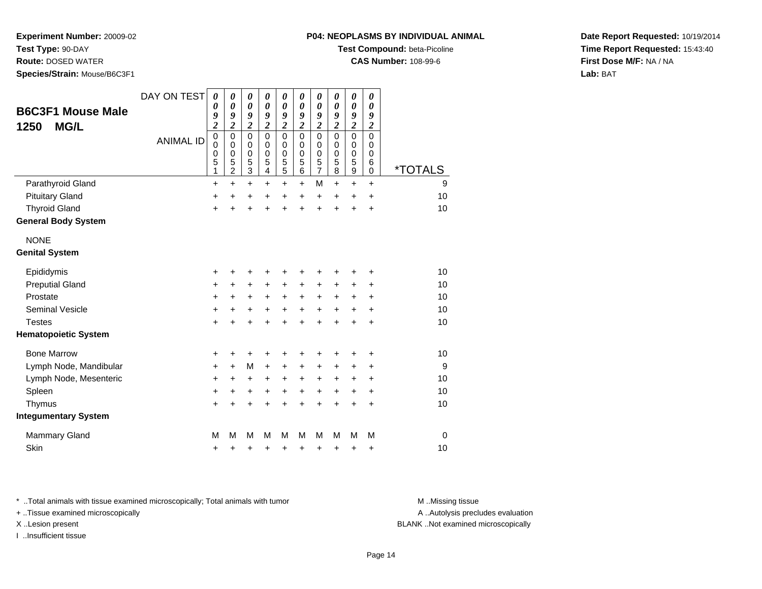**Test Type:** 90-DAY

**Route:** DOSED WATER

**Species/Strain:** Mouse/B6C3F1

# **Test Compound:** beta-Picoline

**CAS Number:** 108-99-6

**Date Report Requested:** 10/19/2014**Time Report Requested:** 15:43:40**First Dose M/F:** NA / NA**Lab:** BAT

| <b>B6C3F1 Mouse Male</b>    | DAY ON TEST      | 0<br>0<br>9                                                                           | 0<br>$\boldsymbol{\theta}$<br>9                                | 0<br>$\boldsymbol{\theta}$<br>9                            | 0<br>$\boldsymbol{\theta}$<br>9                | 0<br>0<br>9                                                          | 0<br>$\boldsymbol{\theta}$<br>9                                                | 0<br>$\boldsymbol{\theta}$<br>9                                                | 0<br>0<br>9                                                                    | 0<br>$\boldsymbol{\theta}$<br>9                            | 0<br>$\boldsymbol{\theta}$<br>9                                         |                       |
|-----------------------------|------------------|---------------------------------------------------------------------------------------|----------------------------------------------------------------|------------------------------------------------------------|------------------------------------------------|----------------------------------------------------------------------|--------------------------------------------------------------------------------|--------------------------------------------------------------------------------|--------------------------------------------------------------------------------|------------------------------------------------------------|-------------------------------------------------------------------------|-----------------------|
| <b>MG/L</b><br>1250         | <b>ANIMAL ID</b> | $\overline{\mathbf{c}}$<br>$\begin{smallmatrix}0\0\0\end{smallmatrix}$<br>0<br>5<br>1 | $\overline{c}$<br>0<br>$\mathbf 0$<br>0<br>5<br>$\overline{2}$ | $\overline{\mathbf{c}}$<br>0<br>$\mathbf 0$<br>0<br>5<br>3 | $\overline{c}$<br>$\Omega$<br>0<br>0<br>5<br>4 | $\overline{\mathbf{c}}$<br>$\mathbf 0$<br>$\mathbf 0$<br>0<br>5<br>5 | $\overline{\mathbf{c}}$<br>$\mathbf 0$<br>$\mathbf 0$<br>0<br>$\,$ 5 $\,$<br>6 | $\overline{\mathbf{c}}$<br>$\mathbf 0$<br>$\mathbf 0$<br>$\mathbf 0$<br>5<br>7 | $\overline{\mathbf{c}}$<br>$\mathbf 0$<br>$\mathbf 0$<br>$\mathbf 0$<br>5<br>8 | $\overline{\mathbf{c}}$<br>0<br>$\mathbf 0$<br>0<br>5<br>9 | $\boldsymbol{2}$<br>$\mathbf 0$<br>$\mathbf 0$<br>$\mathbf 0$<br>6<br>0 | <i><b>*TOTALS</b></i> |
| Parathyroid Gland           |                  | $\ddot{}$                                                                             | $+$                                                            | $\ddot{}$                                                  | $\ddot{}$                                      | $\ddot{}$                                                            | $\ddot{}$                                                                      | M                                                                              | $\ddot{}$                                                                      | $\ddot{}$                                                  | $\ddot{}$                                                               | 9                     |
| <b>Pituitary Gland</b>      |                  | +                                                                                     | $\pm$                                                          | +                                                          | +                                              | $\ddot{}$                                                            | $\ddot{}$                                                                      | $\ddot{}$                                                                      | $\ddot{}$                                                                      | $\ddot{}$                                                  | +                                                                       | 10                    |
| <b>Thyroid Gland</b>        |                  | $\ddot{}$                                                                             |                                                                | $\ddot{}$                                                  | +                                              | $\ddot{}$                                                            | +                                                                              | $\ddot{}$                                                                      | $\ddot{}$                                                                      | +                                                          | $\ddot{}$                                                               | 10                    |
| <b>General Body System</b>  |                  |                                                                                       |                                                                |                                                            |                                                |                                                                      |                                                                                |                                                                                |                                                                                |                                                            |                                                                         |                       |
| <b>NONE</b>                 |                  |                                                                                       |                                                                |                                                            |                                                |                                                                      |                                                                                |                                                                                |                                                                                |                                                            |                                                                         |                       |
| <b>Genital System</b>       |                  |                                                                                       |                                                                |                                                            |                                                |                                                                      |                                                                                |                                                                                |                                                                                |                                                            |                                                                         |                       |
| Epididymis                  |                  | $\pm$                                                                                 | ٠                                                              | ٠                                                          | +                                              | ٠                                                                    |                                                                                |                                                                                |                                                                                |                                                            | ٠                                                                       | 10                    |
| <b>Preputial Gland</b>      |                  | +                                                                                     | $\ddot{}$                                                      | +                                                          | +                                              | +                                                                    | +                                                                              | +                                                                              | +                                                                              | +                                                          | +                                                                       | 10                    |
| Prostate                    |                  | $\ddot{}$                                                                             | $\ddot{}$                                                      | $\ddot{}$                                                  | $\ddot{}$                                      | $\ddot{}$                                                            | $\ddot{}$                                                                      | $\ddot{}$                                                                      | $\ddot{}$                                                                      | $\ddot{}$                                                  | $\ddot{}$                                                               | 10                    |
| <b>Seminal Vesicle</b>      |                  | +                                                                                     | +                                                              | +                                                          | +                                              | +                                                                    | +                                                                              | +                                                                              | +                                                                              | +                                                          | ÷                                                                       | 10                    |
| <b>Testes</b>               |                  | $\ddot{}$                                                                             |                                                                | $\ddot{}$                                                  | $\ddot{}$                                      | ÷                                                                    | $\ddot{}$                                                                      | $\ddot{}$                                                                      | $\ddot{}$                                                                      | ÷                                                          | $\ddot{}$                                                               | 10                    |
| <b>Hematopoietic System</b> |                  |                                                                                       |                                                                |                                                            |                                                |                                                                      |                                                                                |                                                                                |                                                                                |                                                            |                                                                         |                       |
| <b>Bone Marrow</b>          |                  | +                                                                                     | ٠                                                              | +                                                          | +                                              | +                                                                    |                                                                                |                                                                                |                                                                                | +                                                          | ٠                                                                       | 10                    |
| Lymph Node, Mandibular      |                  | $\pm$                                                                                 | $\div$                                                         | M                                                          | +                                              | +                                                                    | +                                                                              | $\ddot{}$                                                                      | +                                                                              | +                                                          | $\ddot{}$                                                               | 9                     |
| Lymph Node, Mesenteric      |                  | +                                                                                     | +                                                              | +                                                          | +                                              | +                                                                    | +                                                                              | +                                                                              | +                                                                              | +                                                          | +                                                                       | 10                    |
| Spleen                      |                  | $\ddot{}$                                                                             | $\ddot{}$                                                      | $\ddot{}$                                                  | $\ddot{}$                                      | $\ddot{}$                                                            | $\ddot{}$                                                                      | $\ddot{}$                                                                      | $\ddot{}$                                                                      | $\ddot{}$                                                  | +                                                                       | 10                    |
| Thymus                      |                  | +                                                                                     | ÷                                                              | +                                                          | $\ddot{}$                                      | $\ddot{}$                                                            | $\ddot{}$                                                                      | $\ddot{}$                                                                      | $\ddot{}$                                                                      | $\ddot{}$                                                  | $\ddot{}$                                                               | 10                    |
| <b>Integumentary System</b> |                  |                                                                                       |                                                                |                                                            |                                                |                                                                      |                                                                                |                                                                                |                                                                                |                                                            |                                                                         |                       |
| <b>Mammary Gland</b>        |                  | М                                                                                     | M                                                              | M                                                          | М                                              | M                                                                    | М                                                                              | м                                                                              | M                                                                              | M                                                          | M                                                                       | 0                     |
| Skin                        |                  | +                                                                                     | +                                                              | +                                                          | +                                              | +                                                                    | +                                                                              | +                                                                              | +                                                                              | +                                                          | +                                                                       | 10                    |

\* ..Total animals with tissue examined microscopically; Total animals with tumor **M** . Missing tissue M ..Missing tissue

+ ..Tissue examined microscopically

I ..Insufficient tissue

A ..Autolysis precludes evaluation

X ..Lesion present BLANK ..Not examined microscopically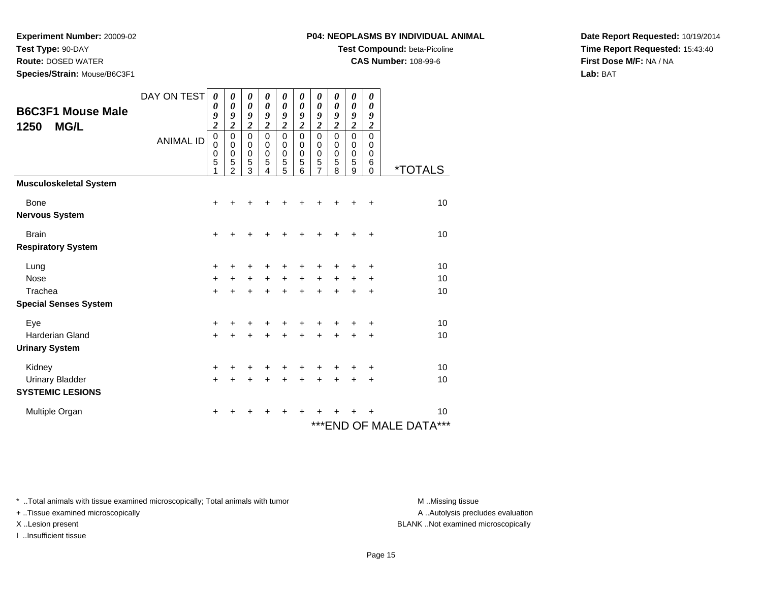**Test Type:** 90-DAY

**Route:** DOSED WATER

**Species/Strain:** Mouse/B6C3F1

#### **P04: NEOPLASMS BY INDIVIDUAL ANIMAL**

**Test Compound:** beta-Picoline

**CAS Number:** 108-99-6

**Date Report Requested:** 10/19/2014**Time Report Requested:** 15:43:40**First Dose M/F:** NA / NA**Lab:** BAT

| <b>B6C3F1 Mouse Male</b><br>1250<br><b>MG/L</b> | DAY ON TEST<br><b>ANIMAL ID</b> | $\boldsymbol{\theta}$<br>0<br>9<br>$\overline{\mathbf{c}}$<br>$\mathbf 0$<br>0<br>0<br>5<br>1 | 0<br>$\boldsymbol{\theta}$<br>9<br>$\overline{2}$<br>$\mathbf 0$<br>0<br>0<br>5<br>$\mathfrak{p}$ | $\boldsymbol{\theta}$<br>$\boldsymbol{\theta}$<br>9<br>$\overline{\mathbf{c}}$<br>0<br>0<br>$\boldsymbol{0}$<br>5<br>3 | 0<br>0<br>9<br>$\overline{\mathbf{c}}$<br>$\mathbf 0$<br>0<br>0<br>5<br>4 | 0<br>$\boldsymbol{\theta}$<br>9<br>$\overline{2}$<br>$\mathbf 0$<br>0<br>$\boldsymbol{0}$<br>5<br>5 | 0<br>$\boldsymbol{\theta}$<br>9<br>$\overline{2}$<br>$\mathbf 0$<br>$\Omega$<br>$\mathbf 0$<br>5<br>6 | 0<br>0<br>9<br>$\overline{2}$<br>$\mathbf 0$<br>0<br>$\mathbf 0$<br>5<br>7 | 0<br>0<br>9<br>$\overline{\mathbf{c}}$<br>$\mathbf 0$<br>0<br>$\mathbf 0$<br>5<br>8 | 0<br>$\boldsymbol{\theta}$<br>9<br>$\overline{2}$<br>0<br>0<br>$\mathbf 0$<br>5<br>9 | 0<br>$\boldsymbol{\theta}$<br>9<br>$\boldsymbol{2}$<br>$\mathbf 0$<br>0<br>$\mathbf 0$<br>6<br>$\Omega$ | <i><b>*TOTALS</b></i>      |
|-------------------------------------------------|---------------------------------|-----------------------------------------------------------------------------------------------|---------------------------------------------------------------------------------------------------|------------------------------------------------------------------------------------------------------------------------|---------------------------------------------------------------------------|-----------------------------------------------------------------------------------------------------|-------------------------------------------------------------------------------------------------------|----------------------------------------------------------------------------|-------------------------------------------------------------------------------------|--------------------------------------------------------------------------------------|---------------------------------------------------------------------------------------------------------|----------------------------|
| <b>Musculoskeletal System</b>                   |                                 |                                                                                               |                                                                                                   |                                                                                                                        |                                                                           |                                                                                                     |                                                                                                       |                                                                            |                                                                                     |                                                                                      |                                                                                                         |                            |
| <b>Bone</b>                                     |                                 | +                                                                                             |                                                                                                   |                                                                                                                        |                                                                           |                                                                                                     |                                                                                                       |                                                                            |                                                                                     |                                                                                      | +                                                                                                       | 10                         |
| <b>Nervous System</b>                           |                                 |                                                                                               |                                                                                                   |                                                                                                                        |                                                                           |                                                                                                     |                                                                                                       |                                                                            |                                                                                     |                                                                                      |                                                                                                         |                            |
| <b>Brain</b>                                    |                                 | $\ddot{}$                                                                                     | +                                                                                                 | +                                                                                                                      | +                                                                         | +                                                                                                   | +                                                                                                     |                                                                            |                                                                                     | ٠                                                                                    | $\ddot{}$                                                                                               | 10                         |
| <b>Respiratory System</b>                       |                                 |                                                                                               |                                                                                                   |                                                                                                                        |                                                                           |                                                                                                     |                                                                                                       |                                                                            |                                                                                     |                                                                                      |                                                                                                         |                            |
| Lung                                            |                                 | $\ddot{}$                                                                                     | +                                                                                                 | +                                                                                                                      | +                                                                         | +                                                                                                   | +                                                                                                     |                                                                            |                                                                                     | +                                                                                    | $\ddot{}$                                                                                               | 10                         |
| <b>Nose</b>                                     |                                 | +                                                                                             | +                                                                                                 | $\ddot{}$                                                                                                              | $\ddot{}$                                                                 | $+$                                                                                                 | $\ddot{}$                                                                                             | $\ddot{}$                                                                  | $+$                                                                                 | $+$                                                                                  | $\ddot{}$                                                                                               | 10                         |
| Trachea                                         |                                 | $\ddot{}$                                                                                     | Ŧ.                                                                                                | $\ddot{}$                                                                                                              | $\ddot{}$                                                                 | $\ddot{}$                                                                                           | $\ddot{}$                                                                                             | $\ddot{}$                                                                  | $\ddot{}$                                                                           | $\ddot{}$                                                                            | $\ddot{}$                                                                                               | 10                         |
| <b>Special Senses System</b>                    |                                 |                                                                                               |                                                                                                   |                                                                                                                        |                                                                           |                                                                                                     |                                                                                                       |                                                                            |                                                                                     |                                                                                      |                                                                                                         |                            |
| Eye                                             |                                 | +                                                                                             | +                                                                                                 | +                                                                                                                      |                                                                           | ٠                                                                                                   |                                                                                                       |                                                                            |                                                                                     |                                                                                      | +                                                                                                       | 10                         |
| <b>Harderian Gland</b>                          |                                 | $+$                                                                                           | $\ddot{}$                                                                                         | $\ddot{}$                                                                                                              | $\ddot{}$                                                                 | $\ddot{}$                                                                                           | $\ddot{}$                                                                                             | $+$                                                                        | $+$                                                                                 | $\ddot{}$                                                                            | $\ddot{}$                                                                                               | 10                         |
| <b>Urinary System</b>                           |                                 |                                                                                               |                                                                                                   |                                                                                                                        |                                                                           |                                                                                                     |                                                                                                       |                                                                            |                                                                                     |                                                                                      |                                                                                                         |                            |
| Kidney                                          |                                 | +                                                                                             | +                                                                                                 | +                                                                                                                      | ٠                                                                         | ٠                                                                                                   | ٠                                                                                                     | ٠                                                                          | ÷                                                                                   |                                                                                      | +                                                                                                       | 10                         |
| <b>Urinary Bladder</b>                          |                                 | $\ddot{}$                                                                                     | $\ddot{}$                                                                                         | $\ddot{}$                                                                                                              | $\ddot{}$                                                                 | $\ddot{}$                                                                                           | $\ddot{}$                                                                                             | $\ddot{}$                                                                  | $\ddot{}$                                                                           | $\ddot{}$                                                                            | $\ddot{}$                                                                                               | 10                         |
| <b>SYSTEMIC LESIONS</b>                         |                                 |                                                                                               |                                                                                                   |                                                                                                                        |                                                                           |                                                                                                     |                                                                                                       |                                                                            |                                                                                     |                                                                                      |                                                                                                         |                            |
| Multiple Organ                                  |                                 | +                                                                                             |                                                                                                   |                                                                                                                        |                                                                           |                                                                                                     | ٠                                                                                                     |                                                                            |                                                                                     |                                                                                      | ٠                                                                                                       | 10                         |
|                                                 |                                 |                                                                                               |                                                                                                   |                                                                                                                        |                                                                           |                                                                                                     |                                                                                                       |                                                                            |                                                                                     |                                                                                      |                                                                                                         | ***<br>***END OF MALE DATA |

\* ..Total animals with tissue examined microscopically; Total animals with tumor **M** . Missing tissue M ..Missing tissue

+ ..Tissue examined microscopically

I ..Insufficient tissue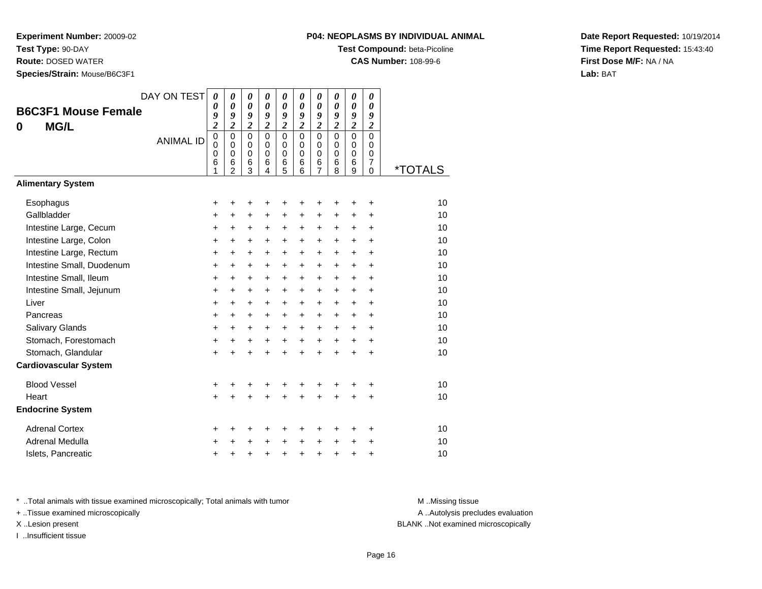**Test Type:** 90-DAY

**Route:** DOSED WATER

**Species/Strain:** Mouse/B6C3F1

**Test Compound:** beta-Picoline

**CAS Number:** 108-99-6

**Date Report Requested:** 10/19/2014**Time Report Requested:** 15:43:40**First Dose M/F:** NA / NA**Lab:** BAT

| <b>B6C3F1 Mouse Female</b><br><b>MG/L</b><br>0 | DAY ON TEST<br><b>ANIMAL ID</b> | 0<br>0<br>9<br>$\overline{\mathbf{c}}$<br>$\overline{0}$<br>0<br>0<br>6<br>1 | 0<br>$\boldsymbol{\theta}$<br>9<br>$\overline{2}$<br>$\overline{0}$<br>$\mathbf 0$<br>$\mathbf 0$<br>6<br>$\overline{2}$ | 0<br>$\boldsymbol{\theta}$<br>9<br>$\overline{\mathbf{c}}$<br>$\overline{0}$<br>$\mathbf 0$<br>$\pmb{0}$<br>6<br>3 | 0<br>$\boldsymbol{\theta}$<br>9<br>$\overline{\mathbf{c}}$<br>$\overline{0}$<br>$\mathbf 0$<br>$\mathbf 0$<br>6<br>4 | 0<br>$\boldsymbol{\theta}$<br>9<br>$\overline{c}$<br>$\overline{0}$<br>$\mathbf 0$<br>$\pmb{0}$<br>6<br>5 | 0<br>$\boldsymbol{\theta}$<br>9<br>$\overline{2}$<br>$\mathbf 0$<br>$\mathbf 0$<br>$\Omega$<br>6<br>6 | 0<br>$\boldsymbol{\theta}$<br>9<br>$\overline{2}$<br>$\mathbf 0$<br>$\mathbf 0$<br>$\mathbf 0$<br>$\frac{6}{7}$ | 0<br>$\boldsymbol{\theta}$<br>9<br>$\overline{2}$<br>$\mathbf 0$<br>$\mathbf 0$<br>0<br>6<br>8 | 0<br>$\boldsymbol{\theta}$<br>9<br>$\overline{\mathbf{c}}$<br>$\overline{0}$<br>$\mathbf 0$<br>0<br>$\frac{6}{9}$ | 0<br>$\boldsymbol{\theta}$<br>9<br>$\overline{\mathbf{c}}$<br>$\overline{0}$<br>$\mathbf 0$<br>0<br>$\overline{7}$<br>0 | <i><b>*TOTALS</b></i> |
|------------------------------------------------|---------------------------------|------------------------------------------------------------------------------|--------------------------------------------------------------------------------------------------------------------------|--------------------------------------------------------------------------------------------------------------------|----------------------------------------------------------------------------------------------------------------------|-----------------------------------------------------------------------------------------------------------|-------------------------------------------------------------------------------------------------------|-----------------------------------------------------------------------------------------------------------------|------------------------------------------------------------------------------------------------|-------------------------------------------------------------------------------------------------------------------|-------------------------------------------------------------------------------------------------------------------------|-----------------------|
| <b>Alimentary System</b>                       |                                 |                                                                              |                                                                                                                          |                                                                                                                    |                                                                                                                      |                                                                                                           |                                                                                                       |                                                                                                                 |                                                                                                |                                                                                                                   |                                                                                                                         |                       |
| Esophagus                                      |                                 | +                                                                            | +                                                                                                                        | +                                                                                                                  | +                                                                                                                    | +                                                                                                         | +                                                                                                     | +                                                                                                               | +                                                                                              | +                                                                                                                 | +                                                                                                                       | 10                    |
| Gallbladder                                    |                                 | $\ddot{}$                                                                    | $\ddot{}$                                                                                                                | $\ddot{}$                                                                                                          | +                                                                                                                    | +                                                                                                         | +                                                                                                     | +                                                                                                               | +                                                                                              | +                                                                                                                 | $\ddot{}$                                                                                                               | 10                    |
| Intestine Large, Cecum                         |                                 | +                                                                            | $\ddot{}$                                                                                                                | $\ddot{}$                                                                                                          | $\ddot{}$                                                                                                            | $\ddot{}$                                                                                                 | +                                                                                                     | +                                                                                                               | +                                                                                              | +                                                                                                                 | +                                                                                                                       | 10                    |
| Intestine Large, Colon                         |                                 | $\ddot{}$                                                                    | $\ddot{}$                                                                                                                | $\ddot{}$                                                                                                          | $\ddot{}$                                                                                                            | $\ddot{}$                                                                                                 | $\ddot{}$                                                                                             | $\ddot{}$                                                                                                       | $\ddot{}$                                                                                      | $\ddot{}$                                                                                                         | $\ddot{}$                                                                                                               | 10                    |
| Intestine Large, Rectum                        |                                 | $\ddot{}$                                                                    | $\ddot{}$                                                                                                                | $\ddot{}$                                                                                                          | $\ddot{}$                                                                                                            | $\ddot{}$                                                                                                 | $\ddot{}$                                                                                             | $\ddot{}$                                                                                                       | $\ddot{}$                                                                                      | $\ddot{}$                                                                                                         | $\ddot{}$                                                                                                               | 10                    |
| Intestine Small, Duodenum                      |                                 | $\ddot{}$                                                                    | $\ddot{}$                                                                                                                | $\ddot{}$                                                                                                          | $\ddot{}$                                                                                                            | $\ddot{}$                                                                                                 | $\ddot{}$                                                                                             | $\ddot{}$                                                                                                       | $\ddot{}$                                                                                      | $+$                                                                                                               | ÷                                                                                                                       | 10                    |
| Intestine Small, Ileum                         |                                 | $\ddot{}$                                                                    | $\ddot{}$                                                                                                                | $\ddot{}$                                                                                                          | $\ddot{}$                                                                                                            | $\ddot{}$                                                                                                 | $\ddot{}$                                                                                             | $\ddot{}$                                                                                                       | $\ddot{}$                                                                                      | $\ddot{}$                                                                                                         | $\ddot{}$                                                                                                               | 10                    |
| Intestine Small, Jejunum                       |                                 | +                                                                            | $\ddot{}$                                                                                                                | $\ddot{}$                                                                                                          | $\ddot{}$                                                                                                            | $\ddot{}$                                                                                                 | $\ddot{}$                                                                                             | $\ddot{}$                                                                                                       | $\ddot{}$                                                                                      | $\ddot{}$                                                                                                         | $\ddot{}$                                                                                                               | 10                    |
| Liver                                          |                                 | +                                                                            | $\ddot{}$                                                                                                                | +                                                                                                                  | $\ddot{}$                                                                                                            | +                                                                                                         | $\ddot{}$                                                                                             | $\ddot{}$                                                                                                       | $\ddot{}$                                                                                      | $\ddot{}$                                                                                                         | +                                                                                                                       | 10                    |
| Pancreas                                       |                                 | +                                                                            | +                                                                                                                        | $\ddot{}$                                                                                                          | +                                                                                                                    | +                                                                                                         | +                                                                                                     | +                                                                                                               | $\ddot{}$                                                                                      | $\ddot{}$                                                                                                         | +                                                                                                                       | 10                    |
| Salivary Glands                                |                                 | +                                                                            | $\ddot{}$                                                                                                                | $\ddot{}$                                                                                                          | $\ddot{}$                                                                                                            | $\ddot{}$                                                                                                 | $+$                                                                                                   | $\ddot{}$                                                                                                       | $\ddot{}$                                                                                      | $\ddot{}$                                                                                                         | $\ddot{}$                                                                                                               | 10                    |
| Stomach, Forestomach                           |                                 | $\ddot{}$                                                                    | $\ddot{}$                                                                                                                | $\ddot{}$                                                                                                          | $\ddot{}$                                                                                                            | $\ddot{}$                                                                                                 | $\ddot{}$                                                                                             | $\ddot{}$                                                                                                       | $\ddot{}$                                                                                      | $+$                                                                                                               | $\ddot{}$                                                                                                               | 10                    |
| Stomach, Glandular                             |                                 | $\ddot{}$                                                                    |                                                                                                                          | $\ddot{}$                                                                                                          |                                                                                                                      | $\ddot{}$                                                                                                 | $\ddot{}$                                                                                             | $\ddot{}$                                                                                                       | $\ddot{}$                                                                                      | $\ddot{}$                                                                                                         | $\ddot{}$                                                                                                               | 10                    |
| <b>Cardiovascular System</b>                   |                                 |                                                                              |                                                                                                                          |                                                                                                                    |                                                                                                                      |                                                                                                           |                                                                                                       |                                                                                                                 |                                                                                                |                                                                                                                   |                                                                                                                         |                       |
| <b>Blood Vessel</b>                            |                                 | +                                                                            | +                                                                                                                        | +                                                                                                                  | +                                                                                                                    | +                                                                                                         | +                                                                                                     | +                                                                                                               | +                                                                                              | +                                                                                                                 | +                                                                                                                       | 10                    |
| Heart                                          |                                 | $\ddot{}$                                                                    |                                                                                                                          |                                                                                                                    |                                                                                                                      |                                                                                                           |                                                                                                       | Ŧ.                                                                                                              |                                                                                                | $\ddot{}$                                                                                                         | $\ddot{}$                                                                                                               | 10                    |
| <b>Endocrine System</b>                        |                                 |                                                                              |                                                                                                                          |                                                                                                                    |                                                                                                                      |                                                                                                           |                                                                                                       |                                                                                                                 |                                                                                                |                                                                                                                   |                                                                                                                         |                       |
| <b>Adrenal Cortex</b>                          |                                 | +                                                                            | ٠                                                                                                                        | +                                                                                                                  | +                                                                                                                    | +                                                                                                         | +                                                                                                     | +                                                                                                               | ٠                                                                                              | ٠                                                                                                                 | ٠                                                                                                                       | 10                    |
| Adrenal Medulla                                |                                 | ٠                                                                            |                                                                                                                          | +                                                                                                                  |                                                                                                                      | +                                                                                                         | $\ddot{}$                                                                                             | +                                                                                                               | $\ddot{}$                                                                                      | +                                                                                                                 | +                                                                                                                       | 10                    |
| Islets, Pancreatic                             |                                 | +                                                                            | +                                                                                                                        | +                                                                                                                  |                                                                                                                      | +                                                                                                         | +                                                                                                     | +                                                                                                               | +                                                                                              | +                                                                                                                 | +                                                                                                                       | 10                    |

\* ..Total animals with tissue examined microscopically; Total animals with tumor **M** . Missing tissue M ..Missing tissue

+ ..Tissue examined microscopically

I ..Insufficient tissue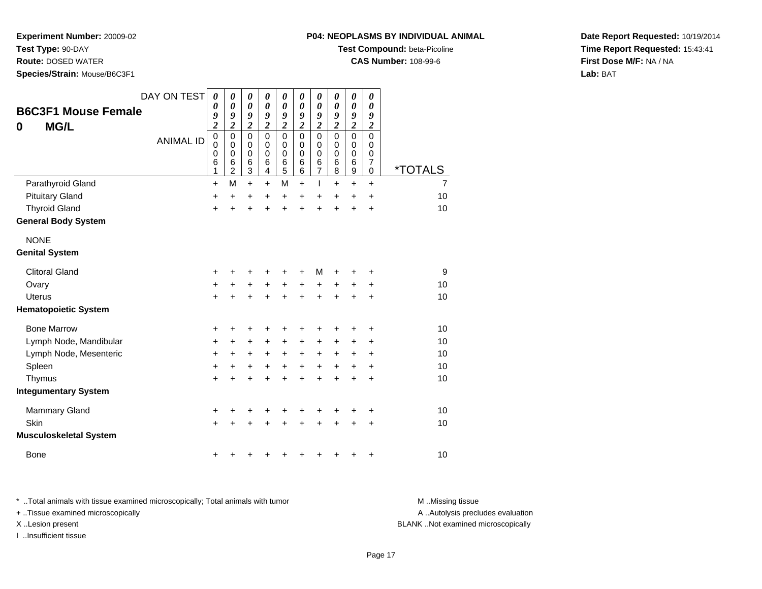**Test Type:** 90-DAY

**Route:** DOSED WATER

**Species/Strain:** Mouse/B6C3F1

| <b>P04: NEOPLASMS BY INDIVIDUAL ANIMAL</b> |  |
|--------------------------------------------|--|
|--------------------------------------------|--|

**Test Compound:** beta-Picoline

**CAS Number:** 108-99-6

**Date Report Requested:** 10/19/2014**Time Report Requested:** 15:43:41**First Dose M/F:** NA / NA**Lab:** BAT

| <b>B6C3F1 Mouse Female</b><br><b>MG/L</b><br>0 | DAY ON TEST      | 0<br>$\boldsymbol{\theta}$<br>9<br>$\boldsymbol{2}$               | 0<br>$\boldsymbol{\theta}$<br>9<br>$\boldsymbol{2}$    | $\pmb{\theta}$<br>$\pmb{\theta}$<br>9<br>$\overline{2}$ | 0<br>$\pmb{\theta}$<br>9<br>$\boldsymbol{2}$ | 0<br>$\pmb{\theta}$<br>9<br>$\overline{\mathbf{2}}$ | 0<br>0<br>9<br>$\overline{\mathbf{2}}$           | 0<br>$\boldsymbol{\theta}$<br>9<br>$\overline{\mathbf{2}}$       | $\boldsymbol{\theta}$<br>$\boldsymbol{\theta}$<br>9<br>$\overline{\mathbf{2}}$ | 0<br>0<br>9<br>$\boldsymbol{2}$                                      | 0<br>0<br>9<br>$\boldsymbol{2}$                        |                       |
|------------------------------------------------|------------------|-------------------------------------------------------------------|--------------------------------------------------------|---------------------------------------------------------|----------------------------------------------|-----------------------------------------------------|--------------------------------------------------|------------------------------------------------------------------|--------------------------------------------------------------------------------|----------------------------------------------------------------------|--------------------------------------------------------|-----------------------|
|                                                | <b>ANIMAL ID</b> | $\mathbf 0$<br>$\mathbf 0$<br>$\mathbf 0$<br>$6\phantom{1}6$<br>1 | $\mathbf 0$<br>$\mathbf 0$<br>0<br>6<br>$\overline{2}$ | $\mathbf 0$<br>$\mathbf 0$<br>0<br>$\,6$<br>3           | $\mathbf 0$<br>$\mathbf 0$<br>0<br>6<br>4    | $\mathbf 0$<br>$\mathbf 0$<br>0<br>6<br>5           | $\mathbf 0$<br>$\mathbf 0$<br>$\Omega$<br>6<br>6 | $\mathbf 0$<br>$\mathbf 0$<br>$\mathbf 0$<br>6<br>$\overline{7}$ | $\mathbf 0$<br>0<br>0<br>6<br>8                                                | $\mathbf 0$<br>$\pmb{0}$<br>$\mathbf 0$<br>$\,6$<br>$\boldsymbol{9}$ | $\mathbf 0$<br>0<br>$\mathbf 0$<br>$\overline{7}$<br>0 | <i><b>*TOTALS</b></i> |
| Parathyroid Gland                              |                  | $\ddot{}$                                                         | M                                                      | $+$                                                     | $\ddot{}$                                    | M                                                   | $\ddot{}$                                        | L                                                                | $\ddot{}$                                                                      | $+$                                                                  | $\ddot{}$                                              | 7                     |
| <b>Pituitary Gland</b>                         |                  | +                                                                 | $\ddot{}$                                              | +                                                       | +                                            | $\ddot{}$                                           | $\ddot{}$                                        | +                                                                | $\ddot{}$                                                                      | $\ddot{}$                                                            | +                                                      | 10                    |
| <b>Thyroid Gland</b>                           |                  | $\ddot{}$                                                         | $\ddot{}$                                              | $\ddot{}$                                               | +                                            | $\ddot{}$                                           | $\ddot{}$                                        | $\ddot{}$                                                        | $\ddot{}$                                                                      | $\ddot{}$                                                            | +                                                      | 10                    |
| <b>General Body System</b>                     |                  |                                                                   |                                                        |                                                         |                                              |                                                     |                                                  |                                                                  |                                                                                |                                                                      |                                                        |                       |
| <b>NONE</b>                                    |                  |                                                                   |                                                        |                                                         |                                              |                                                     |                                                  |                                                                  |                                                                                |                                                                      |                                                        |                       |
| <b>Genital System</b>                          |                  |                                                                   |                                                        |                                                         |                                              |                                                     |                                                  |                                                                  |                                                                                |                                                                      |                                                        |                       |
| <b>Clitoral Gland</b>                          |                  | $\pm$                                                             |                                                        |                                                         |                                              |                                                     | +                                                | M                                                                |                                                                                |                                                                      | +                                                      | 9                     |
| Ovary                                          |                  | $\ddot{}$                                                         | +                                                      | $\ddot{}$                                               | $\ddot{}$                                    | +                                                   | $\ddot{}$                                        | +                                                                | +                                                                              |                                                                      | +                                                      | 10                    |
| <b>Uterus</b>                                  |                  | $\ddot{}$                                                         |                                                        | +                                                       |                                              | $\ddot{}$                                           | $\ddot{}$                                        | $\ddot{}$                                                        | ÷                                                                              |                                                                      | $\ddot{}$                                              | 10                    |
| <b>Hematopoietic System</b>                    |                  |                                                                   |                                                        |                                                         |                                              |                                                     |                                                  |                                                                  |                                                                                |                                                                      |                                                        |                       |
| <b>Bone Marrow</b>                             |                  | +                                                                 | +                                                      | +                                                       | +                                            | +                                                   | +                                                | +                                                                |                                                                                |                                                                      | ٠                                                      | 10                    |
| Lymph Node, Mandibular                         |                  | $\ddot{}$                                                         | $\pm$                                                  | $\ddot{}$                                               | $\pm$                                        | +                                                   | +                                                | +                                                                |                                                                                | +                                                                    | +                                                      | 10                    |
| Lymph Node, Mesenteric                         |                  | $\ddot{}$                                                         | $\pm$                                                  | $\pm$                                                   | +                                            | $\ddot{}$                                           | +                                                | $\ddot{}$                                                        | $\ddot{}$                                                                      |                                                                      |                                                        | 10                    |
| Spleen                                         |                  | $\ddot{}$                                                         | +                                                      | $\ddot{}$                                               | $\pm$                                        | +                                                   | $\ddot{}$                                        | $\ddot{}$                                                        | $\ddot{}$                                                                      |                                                                      | +                                                      | 10                    |
| Thymus                                         |                  | $\ddot{}$                                                         | +                                                      | +                                                       | +                                            | +                                                   | +                                                | +                                                                |                                                                                |                                                                      | +                                                      | 10                    |
| <b>Integumentary System</b>                    |                  |                                                                   |                                                        |                                                         |                                              |                                                     |                                                  |                                                                  |                                                                                |                                                                      |                                                        |                       |
| <b>Mammary Gland</b>                           |                  | +                                                                 |                                                        | +                                                       |                                              | +                                                   |                                                  | +                                                                |                                                                                |                                                                      | +                                                      | 10                    |
| Skin                                           |                  | $\ddot{}$                                                         |                                                        |                                                         |                                              |                                                     |                                                  |                                                                  |                                                                                |                                                                      | +                                                      | 10                    |
| <b>Musculoskeletal System</b>                  |                  |                                                                   |                                                        |                                                         |                                              |                                                     |                                                  |                                                                  |                                                                                |                                                                      |                                                        |                       |
| <b>Bone</b>                                    |                  | +                                                                 |                                                        |                                                         |                                              |                                                     |                                                  |                                                                  |                                                                                |                                                                      | +                                                      | 10                    |

\* ..Total animals with tissue examined microscopically; Total animals with tumor **M** ..Missing tissue M ..Missing tissue A ..Autolysis precludes evaluation + ..Tissue examined microscopically X ..Lesion present BLANK ..Not examined microscopicallyI ..Insufficient tissue

Page 17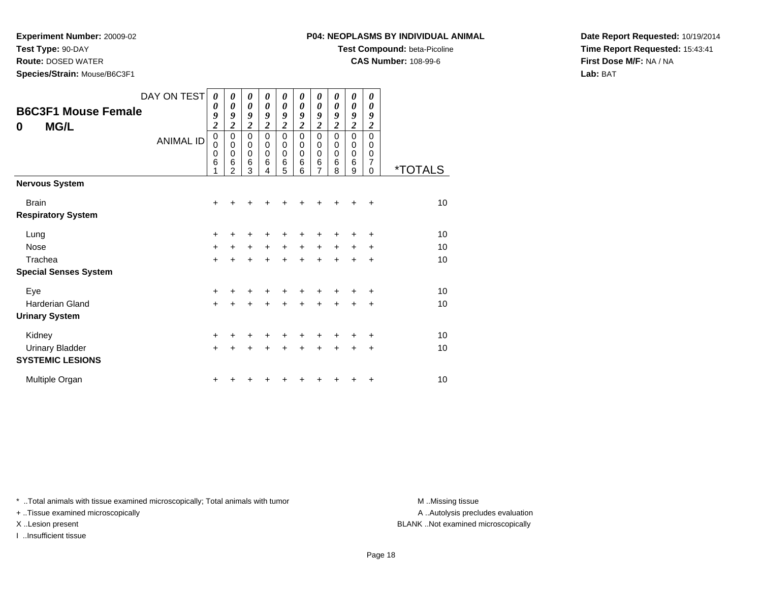**Test Type:** 90-DAY

**Route:** DOSED WATER

**Species/Strain:** Mouse/B6C3F1

**Test Compound:** beta-Picoline

**CAS Number:** 108-99-6

**Date Report Requested:** 10/19/2014**Time Report Requested:** 15:43:41**First Dose M/F:** NA / NA**Lab:** BAT

| <b>B6C3F1 Mouse Female</b><br><b>MG/L</b><br>0 | DAY ON TEST<br><b>ANIMAL ID</b> | $\boldsymbol{\theta}$<br>0<br>9<br>$\overline{\mathbf{c}}$<br>$\mathbf 0$<br>0<br>0<br>6 | 0<br>$\boldsymbol{\theta}$<br>9<br>$\overline{2}$<br>$\mathbf 0$<br>0<br>$\mathbf 0$<br>6<br>$\overline{2}$ | 0<br>$\boldsymbol{\theta}$<br>9<br>$\overline{c}$<br>$\mathbf 0$<br>0<br>$\pmb{0}$<br>6<br>3 | 0<br>0<br>9<br>$\overline{c}$<br>$\Omega$<br>0<br>0<br>6<br>4 | 0<br>$\boldsymbol{\theta}$<br>9<br>$\overline{\mathbf{c}}$<br>$\pmb{0}$<br>0<br>$\mathbf 0$<br>$\,6$<br>5 | 0<br>0<br>9<br>$\overline{c}$<br>$\mathbf 0$<br>0<br>0<br>6<br>6 | 0<br>$\boldsymbol{\theta}$<br>9<br>$\boldsymbol{2}$<br>0<br>0<br>0<br>$\,6$<br>7 | 0<br>0<br>9<br>$\overline{c}$<br>$\Omega$<br>0<br>0<br>6<br>8 | 0<br>$\boldsymbol{\theta}$<br>9<br>$\overline{\mathbf{c}}$<br>$\pmb{0}$<br>$\mathbf 0$<br>$\mathbf 0$<br>$\,6$<br>9 | 0<br>0<br>9<br>$\boldsymbol{2}$<br>$\Omega$<br>0<br>0<br>7<br>$\Omega$ | <i><b>*TOTALS</b></i> |
|------------------------------------------------|---------------------------------|------------------------------------------------------------------------------------------|-------------------------------------------------------------------------------------------------------------|----------------------------------------------------------------------------------------------|---------------------------------------------------------------|-----------------------------------------------------------------------------------------------------------|------------------------------------------------------------------|----------------------------------------------------------------------------------|---------------------------------------------------------------|---------------------------------------------------------------------------------------------------------------------|------------------------------------------------------------------------|-----------------------|
| <b>Nervous System</b>                          |                                 |                                                                                          |                                                                                                             |                                                                                              |                                                               |                                                                                                           |                                                                  |                                                                                  |                                                               |                                                                                                                     |                                                                        |                       |
| <b>Brain</b><br><b>Respiratory System</b>      |                                 | +                                                                                        |                                                                                                             |                                                                                              |                                                               |                                                                                                           |                                                                  |                                                                                  |                                                               |                                                                                                                     | ÷                                                                      | 10                    |
| Lung                                           |                                 | +                                                                                        |                                                                                                             | +                                                                                            |                                                               |                                                                                                           |                                                                  |                                                                                  |                                                               |                                                                                                                     | $\ddot{}$                                                              | 10                    |
| Nose                                           |                                 | $\ddot{}$                                                                                | $\ddot{}$                                                                                                   | $\ddot{}$                                                                                    | $\ddot{}$                                                     | $\ddot{}$                                                                                                 | $\ddot{}$                                                        | $\ddot{}$                                                                        | $\ddot{}$                                                     | $\ddot{}$                                                                                                           | $\ddot{}$                                                              | 10                    |
| Trachea                                        |                                 | $\ddot{}$                                                                                |                                                                                                             | $\ddot{}$                                                                                    | $\ddot{}$                                                     | $\ddot{}$                                                                                                 | $\ddot{}$                                                        | +                                                                                | $\ddot{}$                                                     | $\ddot{}$                                                                                                           | $\ddot{}$                                                              | 10                    |
| <b>Special Senses System</b>                   |                                 |                                                                                          |                                                                                                             |                                                                                              |                                                               |                                                                                                           |                                                                  |                                                                                  |                                                               |                                                                                                                     |                                                                        |                       |
| Eye                                            |                                 | +                                                                                        |                                                                                                             | +                                                                                            |                                                               |                                                                                                           |                                                                  | +                                                                                |                                                               |                                                                                                                     | ÷                                                                      | 10                    |
| <b>Harderian Gland</b>                         |                                 | $+$                                                                                      |                                                                                                             | $\ddot{}$                                                                                    | $\ddot{}$                                                     | $\ddot{}$                                                                                                 | $\ddot{}$                                                        | $\ddot{}$                                                                        | $\ddot{}$                                                     | $\ddot{}$                                                                                                           | $\ddot{}$                                                              | 10                    |
| <b>Urinary System</b>                          |                                 |                                                                                          |                                                                                                             |                                                                                              |                                                               |                                                                                                           |                                                                  |                                                                                  |                                                               |                                                                                                                     |                                                                        |                       |
| Kidney                                         |                                 | +                                                                                        |                                                                                                             | +                                                                                            |                                                               | +                                                                                                         |                                                                  | +                                                                                | +                                                             |                                                                                                                     | $\ddot{}$                                                              | 10                    |
| <b>Urinary Bladder</b>                         |                                 | $\ddot{}$                                                                                |                                                                                                             | ÷                                                                                            | $\ddot{}$                                                     | $\ddot{}$                                                                                                 | $\ddot{}$                                                        | $\ddot{}$                                                                        | $\ddot{}$                                                     | +                                                                                                                   | +                                                                      | 10                    |
| <b>SYSTEMIC LESIONS</b>                        |                                 |                                                                                          |                                                                                                             |                                                                                              |                                                               |                                                                                                           |                                                                  |                                                                                  |                                                               |                                                                                                                     |                                                                        |                       |
| Multiple Organ                                 |                                 | +                                                                                        |                                                                                                             |                                                                                              |                                                               |                                                                                                           |                                                                  |                                                                                  |                                                               |                                                                                                                     | +                                                                      | 10                    |

\* ..Total animals with tissue examined microscopically; Total animals with tumor **M** . Missing tissue M ..Missing tissue

+ ..Tissue examined microscopically

I ..Insufficient tissue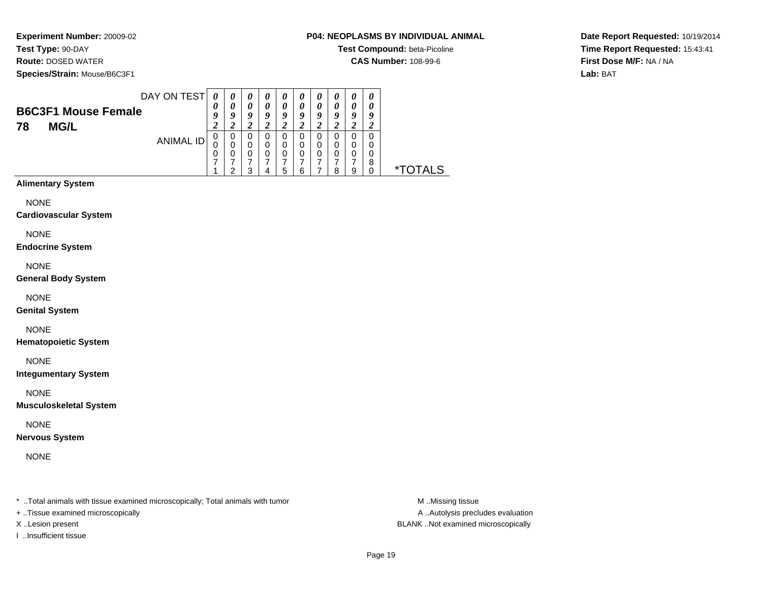**Experiment Number:** 20009-02**Test Type:** 90-DAY

**Route:** DOSED WATER

**Species/Strain:** Mouse/B6C3F1

**P04: NEOPLASMS BY INDIVIDUAL ANIMAL**

**Test Compound:** beta-Picoline

**CAS Number:** 108-99-6

**Date Report Requested:** 10/19/2014**Time Report Requested:** 15:43:41**First Dose M/F:** NA / NA**Lab:** BAT

|                            | DAY ON TEST | 0      | $\theta$ | 0      | $\boldsymbol{\theta}$ | 0      | U | $\boldsymbol{\theta}$ | $\boldsymbol{\theta}$ | $\boldsymbol{\theta}$ | $\boldsymbol{\theta}$ |                       |
|----------------------------|-------------|--------|----------|--------|-----------------------|--------|---|-----------------------|-----------------------|-----------------------|-----------------------|-----------------------|
| <b>B6C3F1 Mouse Female</b> |             | 0      | 0        | 0      | 0                     | 0      | 0 | 0                     | 0                     | 0                     | 0                     |                       |
| <b>MG/L</b><br>78          |             | 9<br>۷ | 9        | 9      | 9                     | 9      | 9 | 9                     | 9                     | 9                     | 9                     |                       |
|                            | ANIMAL ID   | 0      | 0        | 0      | O                     | 0      |   | 0                     |                       |                       |                       |                       |
|                            |             | 0      | 0<br>0   | 0<br>0 | 0<br>0                | 0<br>0 |   | $\Omega$<br>0         |                       | 0<br>0                | 0<br>0                |                       |
|                            |             | ⇁      |          |        |                       |        |   |                       |                       |                       | 8                     |                       |
|                            |             |        | ົ        | 3      |                       | 5      | ĥ |                       | я                     | 9                     | 0                     | <i><b>*TOTALS</b></i> |
| <b>Alimentary System</b>   |             |        |          |        |                       |        |   |                       |                       |                       |                       |                       |

NONE

**Cardiovascular System**

NONE

**Endocrine System**

NONE

**General Body System**

NONE

**Genital System**

NONE

**Hematopoietic System**

NONE

**Integumentary System**

NONE

**Musculoskeletal System**

NONE

**Nervous System**

NONE

\* ..Total animals with tissue examined microscopically; Total animals with tumor **M** ...Missing tissue M ...Missing tissue

+ ..Tissue examined microscopically

I ..Insufficient tissue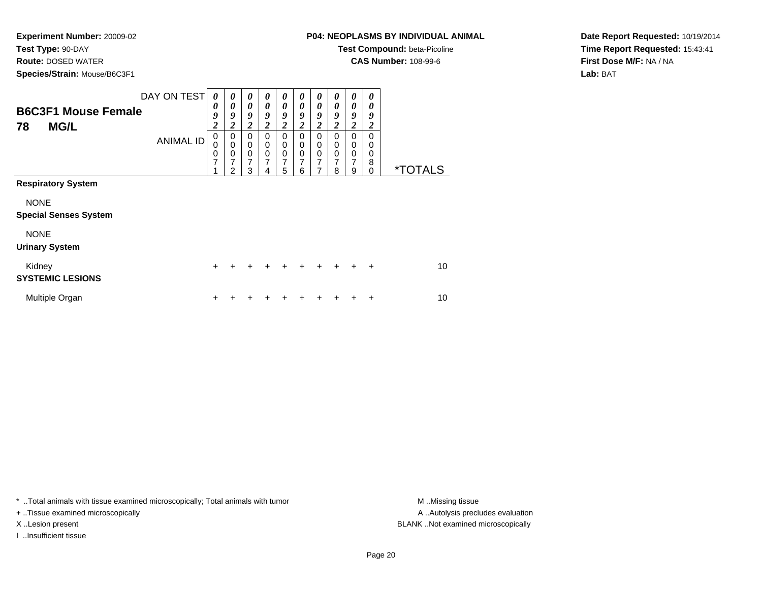**Test Type:** 90-DAY

**Route:** DOSED WATER

**Species/Strain:** Mouse/B6C3F1

**Test Compound:** beta-Picoline

**CAS Number:** 108-99-6

**Date Report Requested:** 10/19/2014**Time Report Requested:** 15:43:41**First Dose M/F:** NA / NA**Lab:** BAT

| <b>B6C3F1 Mouse Female</b><br><b>MG/L</b><br>78 | DAY ON TEST<br><b>ANIMAL ID</b> | 0<br>0<br>9<br>$\boldsymbol{2}$<br>$\mathbf 0$<br>0<br>0<br>$\overline{7}$ | 0<br>0<br>9<br>$\overline{\mathbf{2}}$<br>0<br>$\mathbf 0$<br>0<br>7 | 0<br>0<br>9<br>$\overline{\mathbf{2}}$<br>0<br>$\mathbf 0$<br>0<br>7 | 0<br>0<br>9<br>$\overline{\mathbf{c}}$<br>0<br>0<br>0<br>$\overline{7}$ | 0<br>0<br>9<br>$\boldsymbol{2}$<br>0<br>0<br>0<br>7 | 0<br>0<br>9<br>2<br>$\Omega$<br>0<br>0<br>7 | 0<br>9<br>$\overline{\mathbf{2}}$<br>0<br>0<br>$\mathbf 0$<br>7 | 0<br>0<br>9<br>$\overline{\mathbf{2}}$<br>$\Omega$<br>0<br>$\mathbf 0$<br>7 | 0<br>0<br>9<br>2<br>$\Omega$<br>0<br>$\mathbf 0$<br>7 | 0<br>0<br>9<br>2<br>$\Omega$<br>0<br>0<br>8 |                       |
|-------------------------------------------------|---------------------------------|----------------------------------------------------------------------------|----------------------------------------------------------------------|----------------------------------------------------------------------|-------------------------------------------------------------------------|-----------------------------------------------------|---------------------------------------------|-----------------------------------------------------------------|-----------------------------------------------------------------------------|-------------------------------------------------------|---------------------------------------------|-----------------------|
| <b>Respiratory System</b>                       |                                 |                                                                            | $\mathfrak{p}$                                                       | 3                                                                    | 4                                                                       | 5                                                   | 6                                           |                                                                 | 8                                                                           | 9                                                     | $\Omega$                                    | <i><b>*TOTALS</b></i> |
| <b>NONE</b><br><b>Special Senses System</b>     |                                 |                                                                            |                                                                      |                                                                      |                                                                         |                                                     |                                             |                                                                 |                                                                             |                                                       |                                             |                       |
| <b>NONE</b><br><b>Urinary System</b>            |                                 |                                                                            |                                                                      |                                                                      |                                                                         |                                                     |                                             |                                                                 |                                                                             |                                                       |                                             |                       |
| Kidney<br><b>SYSTEMIC LESIONS</b>               |                                 | $+$                                                                        | $\div$                                                               | +                                                                    | +                                                                       | ÷                                                   | $\ddot{}$                                   | ÷                                                               | $\ddot{}$                                                                   | $\div$                                                | $\div$                                      | 10                    |
| Multiple Organ                                  |                                 | ٠                                                                          |                                                                      |                                                                      |                                                                         |                                                     |                                             |                                                                 |                                                                             |                                                       | ٠                                           | 10                    |

\* ..Total animals with tissue examined microscopically; Total animals with tumor **M** . Missing tissue M ..Missing tissue

+ ..Tissue examined microscopically

I ..Insufficient tissue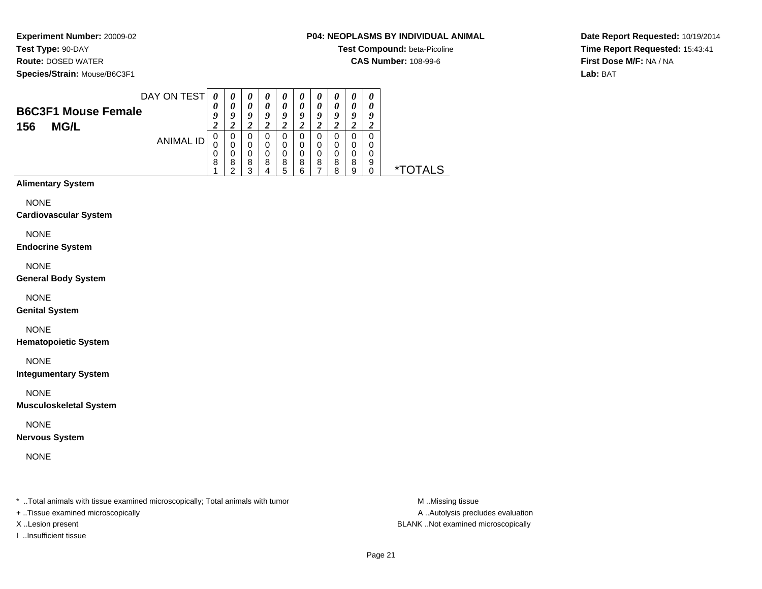**Test Type:** 90-DAY

**Route:** DOSED WATER

**Species/Strain:** Mouse/B6C3F1

**Test Compound:** beta-Picoline

**CAS Number:** 108-99-6

**Date Report Requested:** 10/19/2014**Time Report Requested:** 15:43:41**First Dose M/F:** NA / NA**Lab:** BAT

|                              | DAY ON TEST | $\boldsymbol{\theta}$ | $\boldsymbol{\theta}$ | 0                | 0      | $\boldsymbol{\theta}$ | 0      | $\boldsymbol{\theta}$ | $\boldsymbol{\theta}$ | 0                          | 0      |                       |
|------------------------------|-------------|-----------------------|-----------------------|------------------|--------|-----------------------|--------|-----------------------|-----------------------|----------------------------|--------|-----------------------|
| <b>B6C3F1 Mouse Female</b>   |             | 0                     | 0                     | 0                | 0      | 0                     | 0      | $\boldsymbol{\theta}$ | 0                     | $\boldsymbol{\theta}$      | 0      |                       |
| <b>MG/L</b><br>156           |             | 9<br>2                | 9<br>2                | 9<br>2           | 9<br>2 | 9<br>2                | 9<br>2 | 9<br>2                | 9<br>2                | 9<br>2                     | 9      |                       |
|                              | ANIMAL ID   | 0                     | 0                     | 0                | 0      | 0                     | 0      | 0                     | 0                     | 0                          | 0      |                       |
|                              |             | 0<br>0                | 0<br>$\mathbf 0$      | 0<br>$\mathbf 0$ | 0<br>0 | 0<br>$\mathbf 0$      | 0<br>0 | 0<br>$\mathbf 0$      | 0<br>0                | $\mathbf 0$<br>$\mathbf 0$ | 0<br>0 |                       |
|                              |             | 8                     | 8<br>2                | 8<br>3           | 8<br>4 | 8<br>5                | 8<br>6 | 8<br>7                | 8<br>8                | 8<br>9                     | 9<br>0 | <i><b>*TOTALS</b></i> |
| <b>Alimentary System</b>     |             |                       |                       |                  |        |                       |        |                       |                       |                            |        |                       |
| <b>NONE</b>                  |             |                       |                       |                  |        |                       |        |                       |                       |                            |        |                       |
| <b>Cardiovascular System</b> |             |                       |                       |                  |        |                       |        |                       |                       |                            |        |                       |
| <b>NONE</b>                  |             |                       |                       |                  |        |                       |        |                       |                       |                            |        |                       |
| <b>Endocrine System</b>      |             |                       |                       |                  |        |                       |        |                       |                       |                            |        |                       |

NONE

**General Body System**

NONE

**Genital System**

NONE

**Hematopoietic System**

NONE

**Integumentary System**

NONE

**Musculoskeletal System**

NONE

**Nervous System**

NONE

\* ..Total animals with tissue examined microscopically; Total animals with tumor **M** ...Missing tissue M ...Missing tissue

+ ..Tissue examined microscopically

I ..Insufficient tissue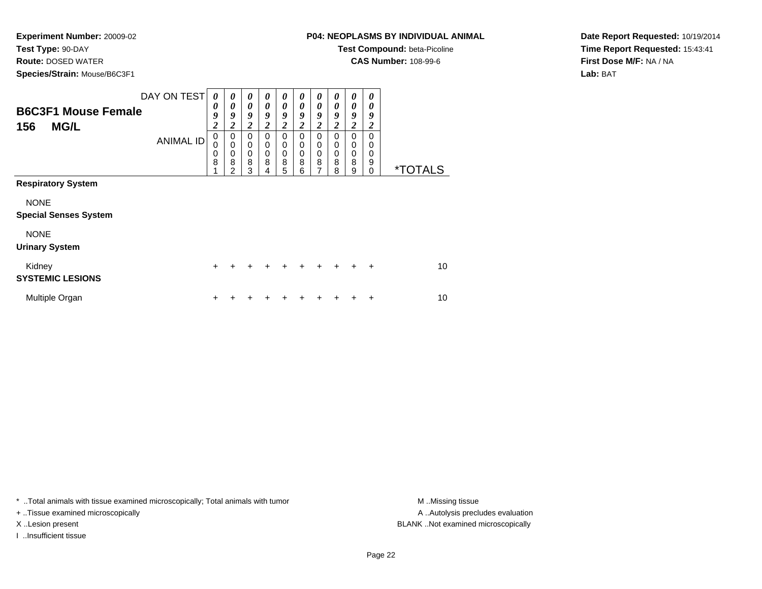**Test Type:** 90-DAY

**Route:** DOSED WATER

**Species/Strain:** Mouse/B6C3F1

**Test Compound:** beta-Picoline

**CAS Number:** 108-99-6

**Date Report Requested:** 10/19/2014**Time Report Requested:** 15:43:41**First Dose M/F:** NA / NA**Lab:** BAT

| <b>B6C3F1 Mouse Female</b><br><b>MG/L</b><br>156                                                                 | DAY ON TEST<br><b>ANIMAL ID</b> | 0<br>0<br>9<br>$\boldsymbol{2}$<br>0<br>0<br>0<br>8 | 0<br>0<br>9<br>$\boldsymbol{2}$<br>0<br>$\mathbf 0$<br>$\mathbf 0$<br>8<br>$\mathfrak{p}$ | 0<br>0<br>9<br>$\overline{\mathbf{c}}$<br>0<br>0<br>$\boldsymbol{0}$<br>8<br>3 | 0<br>0<br>9<br>$\boldsymbol{2}$<br>0<br>0<br>0<br>8<br>4 | 0<br>0<br>9<br>2<br>0<br>0<br>0<br>8<br>5 | $\theta$<br>0<br>9<br>$\overline{\mathbf{c}}$<br>$\Omega$<br>0<br>$\mathbf 0$<br>8<br>6 | 0<br>0<br>9<br>2<br>$\Omega$<br>0<br>$\mathbf 0$<br>8<br>7 | $\theta$<br>0<br>9<br>$\overline{c}$<br>$\Omega$<br>0<br>$\mathbf 0$<br>8<br>8 | 0<br>0<br>9<br>$\overline{\mathbf{c}}$<br>0<br>$\mathbf 0$<br>$\mathbf 0$<br>8<br>9 | 0<br>0<br>9<br>$\boldsymbol{2}$<br>$\Omega$<br>0<br>0<br>9<br>0 | <i><b>*TOTALS</b></i> |
|------------------------------------------------------------------------------------------------------------------|---------------------------------|-----------------------------------------------------|-------------------------------------------------------------------------------------------|--------------------------------------------------------------------------------|----------------------------------------------------------|-------------------------------------------|-----------------------------------------------------------------------------------------|------------------------------------------------------------|--------------------------------------------------------------------------------|-------------------------------------------------------------------------------------|-----------------------------------------------------------------|-----------------------|
| <b>Respiratory System</b><br><b>NONE</b><br><b>Special Senses System</b><br><b>NONE</b><br><b>Urinary System</b> |                                 |                                                     |                                                                                           |                                                                                |                                                          |                                           |                                                                                         |                                                            |                                                                                |                                                                                     |                                                                 |                       |
| Kidney<br><b>SYSTEMIC LESIONS</b>                                                                                |                                 | $\ddot{}$                                           |                                                                                           |                                                                                |                                                          | +                                         | $\div$                                                                                  | $\ddot{}$                                                  | $\ddot{}$                                                                      | $\ddot{}$                                                                           | $\ddot{}$                                                       | 10                    |
| Multiple Organ                                                                                                   |                                 | ٠                                                   |                                                                                           |                                                                                |                                                          |                                           |                                                                                         |                                                            |                                                                                |                                                                                     | ٠                                                               | 10                    |

\* ..Total animals with tissue examined microscopically; Total animals with tumor **M** . Missing tissue M ..Missing tissue

+ ..Tissue examined microscopically

I ..Insufficient tissue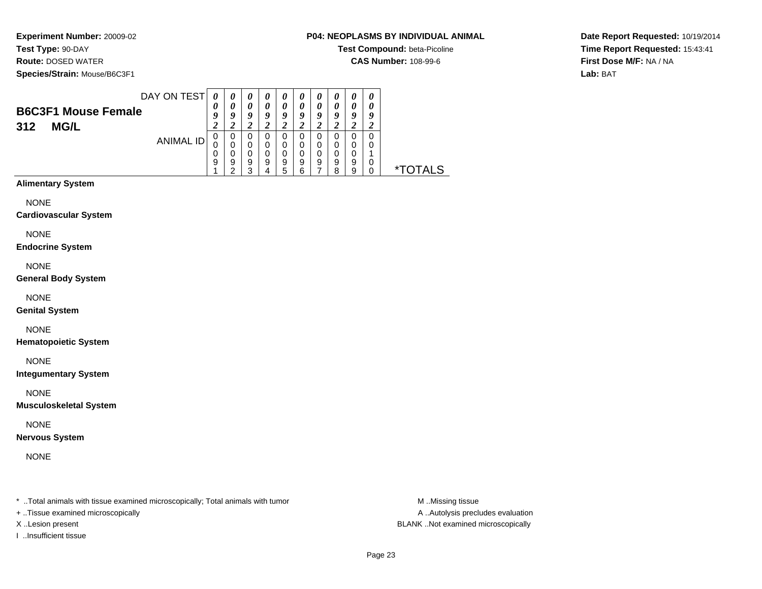**Test Type:** 90-DAY

**Route:** DOSED WATER

**Species/Strain:** Mouse/B6C3F1

#### **P04: NEOPLASMS BY INDIVIDUAL ANIMAL**

**Test Compound:** beta-Picoline

**CAS Number:** 108-99-6

**Date Report Requested:** 10/19/2014**Time Report Requested:** 15:43:41**First Dose M/F:** NA / NA**Lab:** BAT

| DAY ON TEST<br><b>B6C3F1 Mouse Female</b> | 0<br>$\boldsymbol{\theta}$<br>g | $\boldsymbol{\theta}$<br>0<br>9 | 0<br>0<br>9                | $\boldsymbol{\theta}$<br>0<br>9 | $\theta$<br>$\theta$<br>9  | $\theta$<br>0<br>9         | 0<br>$\boldsymbol{\theta}$<br>9 | $\theta$<br>0<br>9    | 0<br>0<br>9                       | 0<br>0<br>9 |                       |
|-------------------------------------------|---------------------------------|---------------------------------|----------------------------|---------------------------------|----------------------------|----------------------------|---------------------------------|-----------------------|-----------------------------------|-------------|-----------------------|
| <b>MG/L</b><br>312<br>ANIMAL ID           | 0<br>U<br>0<br>9                | 2<br>0<br>0<br>0<br>9<br>ົ      | 2<br>0<br>0<br>0<br>9<br>3 | 0<br>0<br>0<br>9<br>4           | 2<br>0<br>0<br>0<br>9<br>5 | 2<br>0<br>0<br>0<br>9<br>6 | 2<br>0<br>0<br>0<br>9<br>⇁      | 0<br>0<br>0<br>9<br>8 | 2<br>0<br>$\Omega$<br>0<br>9<br>9 |             | <i><b>*TOTALS</b></i> |
| <b>Alimentary System</b><br>$\cdots$      |                                 |                                 |                            |                                 |                            |                            |                                 |                       |                                   |             |                       |

NONE

**Cardiovascular System**

NONE

**Endocrine System**

NONE

**General Body System**

NONE

**Genital System**

NONE

**Hematopoietic System**

NONE

**Integumentary System**

NONE

**Musculoskeletal System**

NONE

**Nervous System**

NONE

\* ..Total animals with tissue examined microscopically; Total animals with tumor **M** ...Missing tissue M ...Missing tissue

+ ..Tissue examined microscopically

I ..Insufficient tissue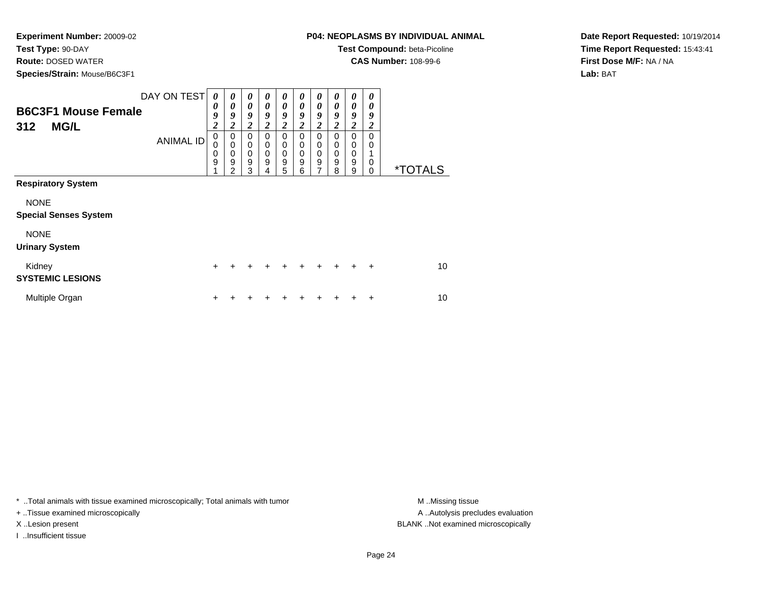**Test Type:** 90-DAY

**Route:** DOSED WATER

**Species/Strain:** Mouse/B6C3F1

**Test Compound:** beta-Picoline

**CAS Number:** 108-99-6

**Date Report Requested:** 10/19/2014**Time Report Requested:** 15:43:41**First Dose M/F:** NA / NA**Lab:** BAT

| <b>B6C3F1 Mouse Female</b><br><b>MG/L</b><br>312                                                                 | DAY ON TEST<br><b>ANIMAL ID</b> | $\boldsymbol{\theta}$<br>0<br>9<br>$\overline{\mathbf{c}}$<br>0<br>0<br>0<br>9 | 0<br>0<br>9<br>2<br>0<br>$\mathbf 0$<br>0<br>9<br>2 | $\theta$<br>0<br>9<br>$\boldsymbol{2}$<br>0<br>0<br>0<br>$\mathsf g$<br>3 | 0<br>0<br>9<br>$\overline{\mathbf{2}}$<br>$\Omega$<br>0<br>$\mathbf 0$<br>9<br>4 | 0<br>0<br>9<br>$\overline{\mathbf{2}}$<br>$\mathbf 0$<br>0<br>0<br>9<br>5 | 0<br>0<br>9<br>2<br>$\Omega$<br>0<br>$\mathbf 0$<br>9<br>6 | 0<br>0<br>9<br>$\overline{\mathbf{c}}$<br>0<br>0<br>0<br>9<br>7 | 0<br>0<br>9<br>2<br>0<br>$\mathbf 0$<br>$\mathbf 0$<br>9<br>8 | 0<br>0<br>9<br>2<br>$\Omega$<br>0<br>$\mathbf 0$<br>$\mathsf g$<br>9 | 0<br>0<br>9<br>2<br>$\Omega$<br>0<br>0<br>0 | <i><b>*TOTALS</b></i> |
|------------------------------------------------------------------------------------------------------------------|---------------------------------|--------------------------------------------------------------------------------|-----------------------------------------------------|---------------------------------------------------------------------------|----------------------------------------------------------------------------------|---------------------------------------------------------------------------|------------------------------------------------------------|-----------------------------------------------------------------|---------------------------------------------------------------|----------------------------------------------------------------------|---------------------------------------------|-----------------------|
| <b>Respiratory System</b><br><b>NONE</b><br><b>Special Senses System</b><br><b>NONE</b><br><b>Urinary System</b> |                                 |                                                                                |                                                     |                                                                           |                                                                                  |                                                                           |                                                            |                                                                 |                                                               |                                                                      |                                             |                       |
| Kidney<br><b>SYSTEMIC LESIONS</b>                                                                                |                                 | $\ddot{}$                                                                      |                                                     |                                                                           |                                                                                  | ÷                                                                         | ÷                                                          | ÷                                                               | $\ddot{}$                                                     | $\div$                                                               | $\div$                                      | 10                    |
| Multiple Organ                                                                                                   |                                 | ٠                                                                              |                                                     |                                                                           |                                                                                  |                                                                           |                                                            |                                                                 |                                                               |                                                                      | ÷                                           | 10                    |

\* ..Total animals with tissue examined microscopically; Total animals with tumor **M** . Missing tissue M ..Missing tissue

+ ..Tissue examined microscopically

I ..Insufficient tissue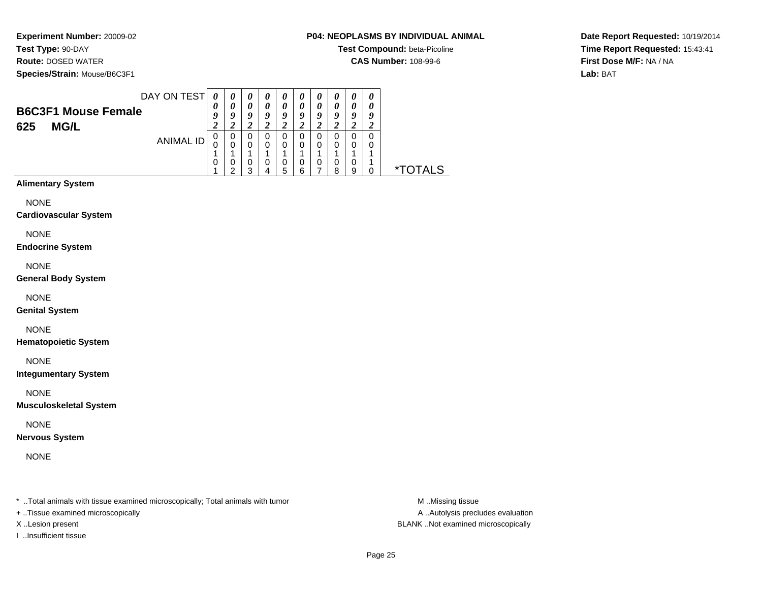**Experiment Number:** 20009-02**Test Type:** 90-DAY

# **Route:** DOSED WATER

**Species/Strain:** Mouse/B6C3F1

#### **P04: NEOPLASMS BY INDIVIDUAL ANIMAL**

**Test Compound:** beta-Picoline

**CAS Number:** 108-99-6

**Date Report Requested:** 10/19/2014**Time Report Requested:** 15:43:41**First Dose M/F:** NA / NA**Lab:** BAT

| DAY ON TEST<br><b>B6C3F1 Mouse Female</b> | 0<br>0<br>9 | 0<br>0<br>9 | $\boldsymbol{\theta}$<br>$\boldsymbol{\theta}$<br>9 | $\boldsymbol{\theta}$<br>0<br>9 | $\boldsymbol{\theta}$<br>0<br>9 | $\boldsymbol{\theta}$<br>0<br>9 | $\boldsymbol{\theta}$<br>$\boldsymbol{\theta}$<br>9 | $\boldsymbol{\theta}$<br>$\theta$<br>9 | 0<br>0<br>9 | 0<br>0<br>9 |                 |
|-------------------------------------------|-------------|-------------|-----------------------------------------------------|---------------------------------|---------------------------------|---------------------------------|-----------------------------------------------------|----------------------------------------|-------------|-------------|-----------------|
| <b>MG/L</b><br>625<br>ANIMAL ID           | 0           | 0<br>0      | 0<br>$\Omega$                                       | 0<br>$\Omega$                   | 0<br>0                          | 0<br>$\Omega$                   | 0<br>0                                              | 0<br>0                                 | 2<br>0<br>0 | 0<br>0      |                 |
| <b>Alimentary System</b>                  | 0           | 0<br>ົ      | 0<br>વ                                              | 0                               | 0<br>5                          | 0<br>6                          | 0                                                   | 0<br>я                                 | 0<br>9      |             | <i>*</i> TOTALS |

NONE

**Cardiovascular System**

NONE

**Endocrine System**

NONE

**General Body System**

NONE

**Genital System**

NONE

**Hematopoietic System**

NONE

**Integumentary System**

NONE

**Musculoskeletal System**

NONE

**Nervous System**

NONE

\* ..Total animals with tissue examined microscopically; Total animals with tumor **M** ...Missing tissue M ...Missing tissue

+ ..Tissue examined microscopically

I ..Insufficient tissue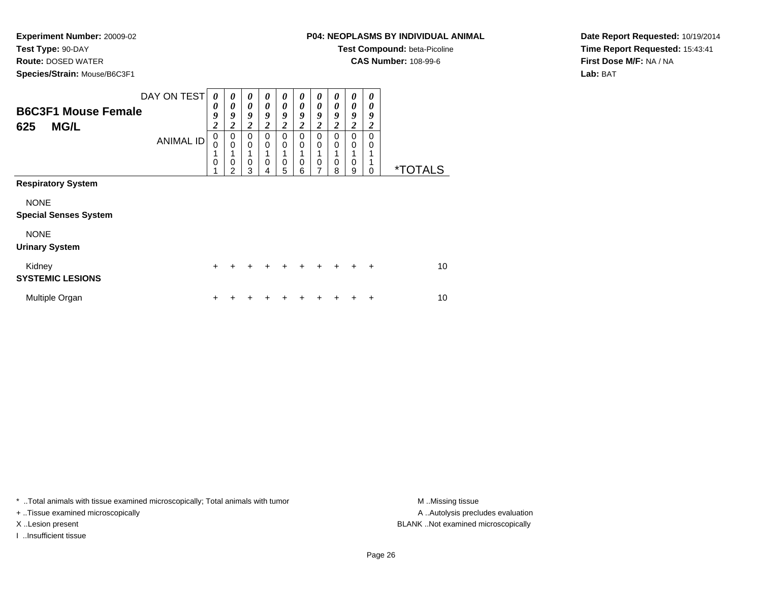**Test Type:** 90-DAY

**Route:** DOSED WATER

**Species/Strain:** Mouse/B6C3F1

**Test Compound:** beta-Picoline

**CAS Number:** 108-99-6

**Date Report Requested:** 10/19/2014**Time Report Requested:** 15:43:41**First Dose M/F:** NA / NA**Lab:** BAT

| <b>B6C3F1 Mouse Female</b><br><b>MG/L</b><br>625 | DAY ON TEST<br><b>ANIMAL ID</b> | 0<br>$\boldsymbol{\theta}$<br>9<br>$\overline{2}$<br>$\mathbf 0$<br>$\mathbf 0$<br>1<br>$\mathbf 0$ | 0<br>0<br>9<br>$\boldsymbol{2}$<br>$\mathbf 0$<br>$\mathbf 0$<br>$\mathbf 0$<br>2 | 0<br>0<br>9<br>$\boldsymbol{2}$<br>$\Omega$<br>$\mathbf 0$<br>0<br>3 | 0<br>0<br>9<br>$\boldsymbol{2}$<br>$\Omega$<br>0<br>0 | 0<br>0<br>9<br>$\boldsymbol{2}$<br>0<br>0<br>0<br>5 | 0<br>0<br>9<br>2<br>0<br>0<br>0<br>6 | 0<br>0<br>9<br>$\boldsymbol{2}$<br>0<br>0<br>0<br>7 | 0<br>0<br>9<br>2<br>0<br>0<br>0<br>8 | 0<br>0<br>9<br>2<br>$\Omega$<br>0<br>0<br>9 | 0<br>0<br>9<br>$\overline{2}$<br>$\Omega$<br>0<br>$\Omega$ | <i><b>*TOTALS</b></i> |
|--------------------------------------------------|---------------------------------|-----------------------------------------------------------------------------------------------------|-----------------------------------------------------------------------------------|----------------------------------------------------------------------|-------------------------------------------------------|-----------------------------------------------------|--------------------------------------|-----------------------------------------------------|--------------------------------------|---------------------------------------------|------------------------------------------------------------|-----------------------|
| <b>Respiratory System</b>                        |                                 |                                                                                                     |                                                                                   |                                                                      |                                                       |                                                     |                                      |                                                     |                                      |                                             |                                                            |                       |
| <b>NONE</b><br><b>Special Senses System</b>      |                                 |                                                                                                     |                                                                                   |                                                                      |                                                       |                                                     |                                      |                                                     |                                      |                                             |                                                            |                       |
| <b>NONE</b><br><b>Urinary System</b>             |                                 |                                                                                                     |                                                                                   |                                                                      |                                                       |                                                     |                                      |                                                     |                                      |                                             |                                                            |                       |
| Kidney<br><b>SYSTEMIC LESIONS</b>                |                                 | $+$                                                                                                 | $\div$                                                                            | ÷                                                                    | $\div$                                                | $\div$                                              | $\div$                               | ÷                                                   | $\ddot{}$                            | ÷                                           | $\ddot{}$                                                  | 10                    |
| Multiple Organ                                   |                                 | ٠                                                                                                   |                                                                                   |                                                                      |                                                       |                                                     |                                      |                                                     |                                      |                                             | ÷                                                          | 10                    |

\* ..Total animals with tissue examined microscopically; Total animals with tumor **M** . Missing tissue M ..Missing tissue

+ ..Tissue examined microscopically

I ..Insufficient tissue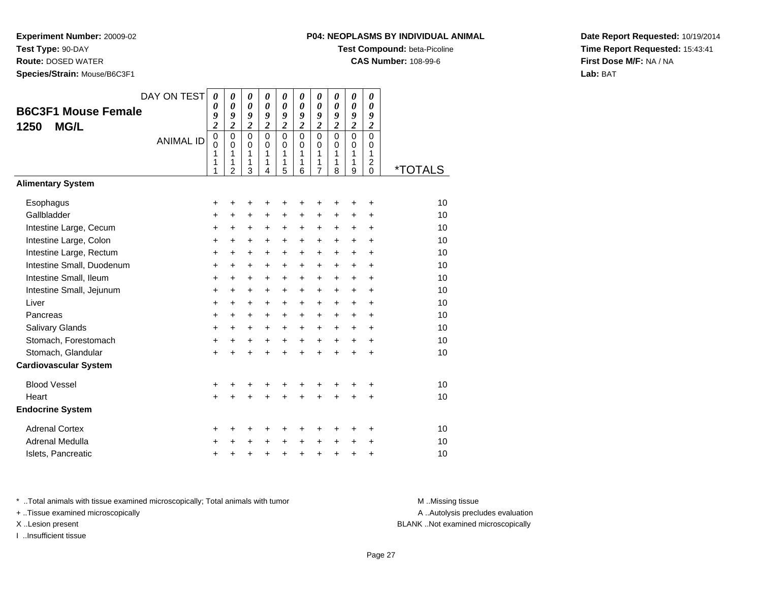**Test Type:** 90-DAY

**Route:** DOSED WATER

**Species/Strain:** Mouse/B6C3F1

**Test Compound:** beta-Picoline

**CAS Number:** 108-99-6

**Date Report Requested:** 10/19/2014**Time Report Requested:** 15:43:41**First Dose M/F:** NA / NA**Lab:** BAT

| <b>B6C3F1 Mouse Female</b><br>1250<br><b>MG/L</b> | DAY ON TEST<br><b>ANIMAL ID</b> | $\boldsymbol{\theta}$<br>0<br>9<br>$\overline{c}$<br>$\overline{0}$<br>$\mathbf 0$<br>1<br>1<br>1 | 0<br>$\boldsymbol{\theta}$<br>9<br>$\overline{\mathbf{c}}$<br>$\overline{0}$<br>$\mathbf 0$<br>1<br>1<br>$\overline{2}$ | 0<br>$\boldsymbol{\theta}$<br>9<br>$\overline{\mathbf{c}}$<br>$\mathbf 0$<br>$\pmb{0}$<br>1<br>1<br>3 | 0<br>$\boldsymbol{\theta}$<br>9<br>$\boldsymbol{2}$<br>$\mathbf 0$<br>$\pmb{0}$<br>1<br>1<br>4 | 0<br>0<br>9<br>$\boldsymbol{2}$<br>$\mathbf 0$<br>$\mathbf 0$<br>1<br>1<br>5 | 0<br>$\boldsymbol{\theta}$<br>9<br>$\boldsymbol{2}$<br>$\mathbf 0$<br>$\pmb{0}$<br>1<br>1<br>6 | 0<br>0<br>9<br>$\boldsymbol{2}$<br>$\overline{0}$<br>$\mathbf 0$<br>1<br>1<br>$\overline{7}$ | 0<br>$\boldsymbol{\theta}$<br>9<br>$\boldsymbol{2}$<br>$\mathbf 0$<br>$\mathbf 0$<br>1<br>1<br>8 | 0<br>$\boldsymbol{\theta}$<br>9<br>$\boldsymbol{2}$<br>$\overline{0}$<br>$\pmb{0}$<br>$\mathbf{1}$<br>1<br>9 | 0<br>0<br>9<br>$\boldsymbol{2}$<br>$\overline{0}$<br>$\mathbf 0$<br>1<br>$\overline{\mathbf{c}}$<br>$\Omega$ | <i><b>*TOTALS</b></i> |
|---------------------------------------------------|---------------------------------|---------------------------------------------------------------------------------------------------|-------------------------------------------------------------------------------------------------------------------------|-------------------------------------------------------------------------------------------------------|------------------------------------------------------------------------------------------------|------------------------------------------------------------------------------|------------------------------------------------------------------------------------------------|----------------------------------------------------------------------------------------------|--------------------------------------------------------------------------------------------------|--------------------------------------------------------------------------------------------------------------|--------------------------------------------------------------------------------------------------------------|-----------------------|
| <b>Alimentary System</b>                          |                                 |                                                                                                   |                                                                                                                         |                                                                                                       |                                                                                                |                                                                              |                                                                                                |                                                                                              |                                                                                                  |                                                                                                              |                                                                                                              |                       |
| Esophagus                                         |                                 | +                                                                                                 | +                                                                                                                       | +                                                                                                     | +                                                                                              | +                                                                            | +                                                                                              | +                                                                                            | +                                                                                                | +                                                                                                            | +                                                                                                            | 10                    |
| Gallbladder                                       |                                 | +                                                                                                 | $\ddot{}$                                                                                                               | +                                                                                                     | $\ddot{}$                                                                                      | $\ddot{}$                                                                    | +                                                                                              | +                                                                                            | +                                                                                                | $\ddot{}$                                                                                                    | $\ddot{}$                                                                                                    | 10                    |
| Intestine Large, Cecum                            |                                 | +                                                                                                 | +                                                                                                                       | $\ddot{}$                                                                                             | $\ddot{}$                                                                                      | $\ddot{}$                                                                    | +                                                                                              | +                                                                                            | +                                                                                                | +                                                                                                            | +                                                                                                            | 10                    |
| Intestine Large, Colon                            |                                 | +                                                                                                 | +                                                                                                                       | $\ddot{}$                                                                                             | $\ddot{}$                                                                                      | $\ddot{}$                                                                    | +                                                                                              | +                                                                                            | $\ddot{}$                                                                                        | $\ddot{}$                                                                                                    | $\ddot{}$                                                                                                    | 10                    |
| Intestine Large, Rectum                           |                                 | +                                                                                                 | +                                                                                                                       | +                                                                                                     | +                                                                                              | $\ddot{}$                                                                    | +                                                                                              | +                                                                                            | +                                                                                                | $\ddot{}$                                                                                                    | +                                                                                                            | 10                    |
| Intestine Small, Duodenum                         |                                 | +                                                                                                 | $\ddot{}$                                                                                                               | +                                                                                                     | $\ddot{}$                                                                                      | $\ddot{}$                                                                    | +                                                                                              | $\ddot{}$                                                                                    | +                                                                                                | $\ddot{}$                                                                                                    | $\ddot{}$                                                                                                    | 10                    |
| Intestine Small, Ileum                            |                                 | +                                                                                                 | +                                                                                                                       | +                                                                                                     | $\ddot{}$                                                                                      | $\ddot{}$                                                                    | +                                                                                              | +                                                                                            | +                                                                                                | +                                                                                                            | +                                                                                                            | 10                    |
| Intestine Small, Jejunum                          |                                 | +                                                                                                 | +                                                                                                                       | $\ddot{}$                                                                                             | $\ddot{}$                                                                                      | $\ddot{}$                                                                    | +                                                                                              | $\ddot{}$                                                                                    | $\ddot{}$                                                                                        | $\ddot{}$                                                                                                    | $\ddot{}$                                                                                                    | 10                    |
| Liver                                             |                                 | +                                                                                                 | +                                                                                                                       | $\ddot{}$                                                                                             | $\ddot{}$                                                                                      | $\ddot{}$                                                                    | +                                                                                              | +                                                                                            | +                                                                                                | $\ddot{}$                                                                                                    | +                                                                                                            | 10                    |
| Pancreas                                          |                                 | +                                                                                                 | +                                                                                                                       | $\ddot{}$                                                                                             | $\ddot{}$                                                                                      | $\ddot{}$                                                                    | +                                                                                              | $\ddot{}$                                                                                    | +                                                                                                | $\ddot{}$                                                                                                    | $\ddot{}$                                                                                                    | 10                    |
| <b>Salivary Glands</b>                            |                                 | +                                                                                                 | $\ddot{}$                                                                                                               | $\ddot{}$                                                                                             | $\ddot{}$                                                                                      | $\ddot{}$                                                                    | $\ddot{}$                                                                                      | $\ddot{}$                                                                                    | $\ddot{}$                                                                                        | $\ddot{}$                                                                                                    | $\ddot{}$                                                                                                    | 10                    |
| Stomach, Forestomach                              |                                 | +                                                                                                 | $\ddot{}$                                                                                                               | $\ddot{}$                                                                                             | $\ddot{}$                                                                                      | $\ddot{}$                                                                    | $\ddot{}$                                                                                      | $\ddot{}$                                                                                    | $+$                                                                                              | $\ddot{}$                                                                                                    | $\ddot{}$                                                                                                    | 10                    |
| Stomach, Glandular                                |                                 | $\ddot{}$                                                                                         | +                                                                                                                       | $\ddot{}$                                                                                             | $\ddot{}$                                                                                      | $\ddot{}$                                                                    | ÷                                                                                              | $\ddot{}$                                                                                    | $\ddot{}$                                                                                        | $+$                                                                                                          | $\ddot{}$                                                                                                    | 10                    |
| <b>Cardiovascular System</b>                      |                                 |                                                                                                   |                                                                                                                         |                                                                                                       |                                                                                                |                                                                              |                                                                                                |                                                                                              |                                                                                                  |                                                                                                              |                                                                                                              |                       |
| <b>Blood Vessel</b>                               |                                 | +                                                                                                 | +                                                                                                                       | +                                                                                                     | +                                                                                              | +                                                                            | +                                                                                              | +                                                                                            | +                                                                                                | +                                                                                                            | +                                                                                                            | 10                    |
| Heart                                             |                                 | $\ddot{}$                                                                                         |                                                                                                                         | Ł                                                                                                     |                                                                                                |                                                                              |                                                                                                | ÷                                                                                            |                                                                                                  |                                                                                                              | $\ddot{}$                                                                                                    | 10                    |
| <b>Endocrine System</b>                           |                                 |                                                                                                   |                                                                                                                         |                                                                                                       |                                                                                                |                                                                              |                                                                                                |                                                                                              |                                                                                                  |                                                                                                              |                                                                                                              |                       |
| <b>Adrenal Cortex</b>                             |                                 | +                                                                                                 | +                                                                                                                       | +                                                                                                     | +                                                                                              | +                                                                            | +                                                                                              | +                                                                                            | +                                                                                                | +                                                                                                            | +                                                                                                            | 10                    |
| Adrenal Medulla                                   |                                 | +                                                                                                 |                                                                                                                         | +                                                                                                     | +                                                                                              | +                                                                            | +                                                                                              | +                                                                                            | +                                                                                                | +                                                                                                            | +                                                                                                            | 10                    |
| Islets, Pancreatic                                |                                 | +                                                                                                 | +                                                                                                                       | +                                                                                                     |                                                                                                | +                                                                            | +                                                                                              | +                                                                                            | +                                                                                                | +                                                                                                            | +                                                                                                            | 10                    |

\* ..Total animals with tissue examined microscopically; Total animals with tumor **M** . Missing tissue M ..Missing tissue

+ ..Tissue examined microscopically

I ..Insufficient tissue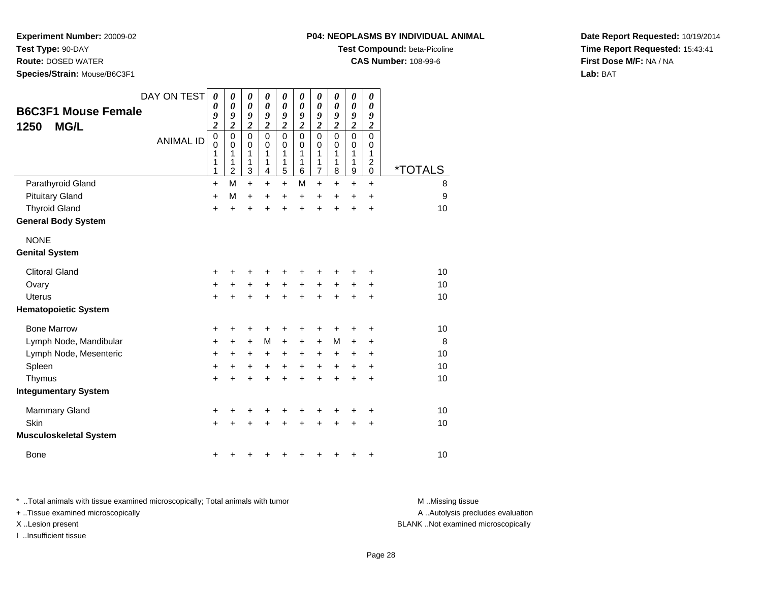**Test Type:** 90-DAY

**Route:** DOSED WATER

**Species/Strain:** Mouse/B6C3F1

#### **P04: NEOPLASMS BY INDIVIDUAL ANIMAL**

**Test Compound:** beta-Picoline

**CAS Number:** 108-99-6

**Date Report Requested:** 10/19/2014**Time Report Requested:** 15:43:41**First Dose M/F:** NA / NA**Lab:** BAT

| <b>B6C3F1 Mouse Female</b><br><b>MG/L</b><br>1250 | DAY ON TEST<br><b>ANIMAL ID</b> | $\boldsymbol{\theta}$<br>0<br>9<br>$\overline{\mathbf{c}}$<br>$\mathbf 0$<br>$\mathbf 0$<br>1<br>1<br>1 | 0<br>$\boldsymbol{\theta}$<br>9<br>$\boldsymbol{2}$<br>$\mathbf 0$<br>$\mathbf 0$<br>1<br>1<br>$\overline{2}$ | 0<br>$\boldsymbol{\theta}$<br>9<br>$\boldsymbol{2}$<br>$\mathbf 0$<br>$\mathbf 0$<br>1<br>1<br>3 | 0<br>$\boldsymbol{\theta}$<br>9<br>$\overline{\mathbf{c}}$<br>$\mathbf 0$<br>$\mathbf 0$<br>1<br>1<br>$\overline{4}$ | 0<br>0<br>9<br>$\overline{\mathbf{c}}$<br>$\mathbf 0$<br>$\mathbf 0$<br>1<br>1<br>5 | 0<br>0<br>9<br>$\overline{\mathbf{c}}$<br>0<br>0<br>1<br>1<br>6 | 0<br>0<br>9<br>$\overline{\mathbf{c}}$<br>$\mathbf 0$<br>$\mathbf 0$<br>1<br>1<br>$\overline{7}$ | 0<br>0<br>9<br>$\overline{\mathbf{c}}$<br>0<br>0<br>1<br>1<br>8 | 0<br>$\boldsymbol{\theta}$<br>9<br>$\overline{\mathbf{c}}$<br>$\mathbf 0$<br>$\mathbf 0$<br>1<br>1<br>$\mathsf g$ | 0<br>$\boldsymbol{\theta}$<br>9<br>$\boldsymbol{2}$<br>$\mathbf 0$<br>0<br>1<br>$\overline{c}$<br>0 | <i><b>*TOTALS</b></i> |
|---------------------------------------------------|---------------------------------|---------------------------------------------------------------------------------------------------------|---------------------------------------------------------------------------------------------------------------|--------------------------------------------------------------------------------------------------|----------------------------------------------------------------------------------------------------------------------|-------------------------------------------------------------------------------------|-----------------------------------------------------------------|--------------------------------------------------------------------------------------------------|-----------------------------------------------------------------|-------------------------------------------------------------------------------------------------------------------|-----------------------------------------------------------------------------------------------------|-----------------------|
| Parathyroid Gland                                 |                                 | $\ddot{}$                                                                                               | M                                                                                                             | $\ddot{}$                                                                                        | $\ddot{}$                                                                                                            | $\ddot{}$                                                                           | M                                                               | $\ddot{}$                                                                                        | $\ddot{}$                                                       | $\ddot{}$                                                                                                         | $\ddot{}$                                                                                           | 8                     |
| <b>Pituitary Gland</b>                            |                                 | +                                                                                                       | М                                                                                                             | $\ddot{}$                                                                                        | $\ddot{}$                                                                                                            | +                                                                                   | $\ddot{}$                                                       | $\ddot{}$                                                                                        | +                                                               | +                                                                                                                 | $\ddot{}$                                                                                           | 9                     |
| <b>Thyroid Gland</b>                              |                                 | $\ddot{}$                                                                                               | $\ddot{}$                                                                                                     | $\ddot{}$                                                                                        | $\ddot{}$                                                                                                            | $\ddot{}$                                                                           | $\ddot{}$                                                       | $\ddot{}$                                                                                        | $\ddot{}$                                                       | $\ddot{}$                                                                                                         | +                                                                                                   | 10                    |
| <b>General Body System</b>                        |                                 |                                                                                                         |                                                                                                               |                                                                                                  |                                                                                                                      |                                                                                     |                                                                 |                                                                                                  |                                                                 |                                                                                                                   |                                                                                                     |                       |
| <b>NONE</b>                                       |                                 |                                                                                                         |                                                                                                               |                                                                                                  |                                                                                                                      |                                                                                     |                                                                 |                                                                                                  |                                                                 |                                                                                                                   |                                                                                                     |                       |
| <b>Genital System</b>                             |                                 |                                                                                                         |                                                                                                               |                                                                                                  |                                                                                                                      |                                                                                     |                                                                 |                                                                                                  |                                                                 |                                                                                                                   |                                                                                                     |                       |
| <b>Clitoral Gland</b>                             |                                 | +                                                                                                       | ٠                                                                                                             | ٠                                                                                                | ÷                                                                                                                    | ٠                                                                                   | +                                                               | +                                                                                                | ٠                                                               | ٠                                                                                                                 | +                                                                                                   | 10                    |
| Ovary                                             |                                 | $\ddot{}$                                                                                               | +                                                                                                             | $\ddot{}$                                                                                        | $\ddot{}$                                                                                                            | +                                                                                   | $\ddot{}$                                                       | +                                                                                                | +                                                               | +                                                                                                                 | +                                                                                                   | 10                    |
| <b>Uterus</b>                                     |                                 | $\ddot{}$                                                                                               | $\ddot{}$                                                                                                     | $\ddot{}$                                                                                        | +                                                                                                                    | $\ddot{}$                                                                           | $\ddot{}$                                                       | $\ddot{}$                                                                                        | +                                                               | +                                                                                                                 | $\ddot{}$                                                                                           | 10                    |
| <b>Hematopoietic System</b>                       |                                 |                                                                                                         |                                                                                                               |                                                                                                  |                                                                                                                      |                                                                                     |                                                                 |                                                                                                  |                                                                 |                                                                                                                   |                                                                                                     |                       |
| <b>Bone Marrow</b>                                |                                 | +                                                                                                       | +                                                                                                             | +                                                                                                | ٠                                                                                                                    |                                                                                     |                                                                 | +                                                                                                |                                                                 | +                                                                                                                 | +                                                                                                   | 10                    |
| Lymph Node, Mandibular                            |                                 | +                                                                                                       | +                                                                                                             | +                                                                                                | M                                                                                                                    | +                                                                                   | $\pm$                                                           | +                                                                                                | М                                                               | +                                                                                                                 | +                                                                                                   | 8                     |
| Lymph Node, Mesenteric                            |                                 | $\ddot{}$                                                                                               | +                                                                                                             | +                                                                                                | $\ddot{}$                                                                                                            | +                                                                                   | ٠                                                               | ٠                                                                                                | +                                                               | +                                                                                                                 | ÷                                                                                                   | 10                    |
| Spleen                                            |                                 | $\ddot{}$                                                                                               | +                                                                                                             | +                                                                                                | $\ddot{}$                                                                                                            | $\ddot{}$                                                                           | $\ddot{}$                                                       | $\ddot{}$                                                                                        | $\ddot{}$                                                       | $\ddot{}$                                                                                                         | $\ddot{}$                                                                                           | 10                    |
| Thymus                                            |                                 | $\ddot{}$                                                                                               | $\ddot{}$                                                                                                     | $\ddot{}$                                                                                        | $\ddot{}$                                                                                                            | $\ddot{}$                                                                           | $\ddot{}$                                                       | ÷                                                                                                | ÷                                                               | $\ddot{}$                                                                                                         | $\ddot{}$                                                                                           | 10                    |
| <b>Integumentary System</b>                       |                                 |                                                                                                         |                                                                                                               |                                                                                                  |                                                                                                                      |                                                                                     |                                                                 |                                                                                                  |                                                                 |                                                                                                                   |                                                                                                     |                       |
| Mammary Gland                                     |                                 | +                                                                                                       | +                                                                                                             | +                                                                                                |                                                                                                                      | +                                                                                   | +                                                               | +                                                                                                |                                                                 | +                                                                                                                 | +                                                                                                   | 10                    |
| Skin                                              |                                 | $\ddot{}$                                                                                               |                                                                                                               | +                                                                                                |                                                                                                                      |                                                                                     |                                                                 |                                                                                                  |                                                                 | +                                                                                                                 | +                                                                                                   | 10                    |
| <b>Musculoskeletal System</b>                     |                                 |                                                                                                         |                                                                                                               |                                                                                                  |                                                                                                                      |                                                                                     |                                                                 |                                                                                                  |                                                                 |                                                                                                                   |                                                                                                     |                       |
| Bone                                              |                                 | +                                                                                                       | ٠                                                                                                             |                                                                                                  |                                                                                                                      |                                                                                     |                                                                 |                                                                                                  | +                                                               | +                                                                                                                 | +                                                                                                   | 10                    |

\* ..Total animals with tissue examined microscopically; Total animals with tumor **M** . Missing tissue M ..Missing tissue

+ ..Tissue examined microscopically

I ..Insufficient tissue